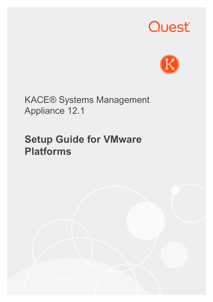# Quest®



KACE® Systems Management Appliance 12.1

## **Setup Guide for VMware Platforms**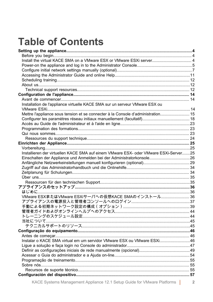## **Table of Contents**

| Installation de l'appliance virtuelle KACE SMA sur un serveur VMware ESX ou          |  |
|--------------------------------------------------------------------------------------|--|
|                                                                                      |  |
| Mettre l'appliance sous tension et se connecter à la Console d'administration 15     |  |
|                                                                                      |  |
|                                                                                      |  |
|                                                                                      |  |
|                                                                                      |  |
|                                                                                      |  |
|                                                                                      |  |
|                                                                                      |  |
| Installieren der virtuellen KACE SMA auf einem VMware ESX- oder VMware ESXi-Server25 |  |
| Einschalten der Appliance und Anmelden bei der Administratorkonsole26                |  |
|                                                                                      |  |
|                                                                                      |  |
|                                                                                      |  |
|                                                                                      |  |
|                                                                                      |  |
|                                                                                      |  |
|                                                                                      |  |
| VMware ESXまたはVMware ESXiサーバへの仮想KACE SMAのインストール 36                                    |  |
|                                                                                      |  |
|                                                                                      |  |
|                                                                                      |  |
|                                                                                      |  |
|                                                                                      |  |
|                                                                                      |  |
|                                                                                      |  |
|                                                                                      |  |
| Instalar o KACE SMA virtual em um servidor VMware ESX ou VMware ESXi46               |  |
|                                                                                      |  |
|                                                                                      |  |
|                                                                                      |  |
|                                                                                      |  |
|                                                                                      |  |
|                                                                                      |  |
|                                                                                      |  |
|                                                                                      |  |

KACE Systems Management Appliance 12.1 Setup Guide for VMware Platforms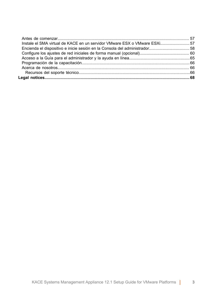| Instale el SMA virtual de KACE en un servidor VMware ESX o VMware ESXi57 |  |
|--------------------------------------------------------------------------|--|
|                                                                          |  |
|                                                                          |  |
|                                                                          |  |
|                                                                          |  |
|                                                                          |  |
|                                                                          |  |
|                                                                          |  |
|                                                                          |  |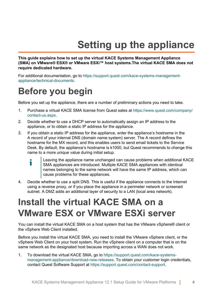## **Setting up the appliance**

<span id="page-3-0"></span>**This guide explains how to set up the virtual KACE Systems Management Appliance (SMA) on VMware® ESX® or VMware ESXi™ host systems.The virtual KACE SMA does not require dedicated hardware.**

For additional documentation, go to [https://support.quest.com/kace-systems-management](https://support.quest.com/kace-systems-management-appliance/technical-documents)[appliance/technical-documents.](https://support.quest.com/kace-systems-management-appliance/technical-documents)

#### <span id="page-3-1"></span>**Before you begin**

Before you set up the appliance, there are a number of preliminary actions you need to take.

- 1. Purchase a virtual KACE SMA license from Quest sales at [https://www.quest.com/company/](https://www.quest.com/company/contact-us.aspx) [contact-us.aspx](https://www.quest.com/company/contact-us.aspx).
- 2. Decide whether to use a DHCP server to automatically assign an IP address to the appliance, or to obtain a static IP address for the appliance.
- 3. If you obtain a static IP address for the appliance, enter the appliance's hostname in the A record of your internal DNS (domain name system) server. The A record defines the hostname for the MX record, and this enables users to send email tickets to the Service Desk. By default, the appliance's hostname is k1000, but Quest recommends to change this name to a more unique value during initial setup.
	- Leaving the appliance name unchanged can cause problems when additional KACE i SMA appliances are introduced. Multiple KACE SMA appliances with identical names belonging to the same network will have the same IP address, which can cause problems for these appliances.
- 4. Decide whether to use a split DNS. This is useful if the appliance connects to the Internet using a reverse proxy, or if you place the appliance in a perimeter network or screened subnet. A DMZ adds an additional layer of security to a LAN (local area network).

#### <span id="page-3-2"></span>**Install the virtual KACE SMA on a VMware ESX or VMware ESXi server**

You can install the virtual KACE SMA on a host system that has the VMware vSphere® client or the vSphere Web Client installed.

Before you install the virtual KACE SMA, you need to install the VMware vSphere client, or the vSphere Web Client on your host system. Run the vSphere client on a computer that is on the same network as the designated host because importing across a WAN does not work.

1. To download the virtual KACE SMA, go to [https://support.quest.com/kace-systems](https://support.quest.com/kace-systems-management-appliance/download-new-releases)[management-appliance/download-new-releases](https://support.quest.com/kace-systems-management-appliance/download-new-releases). To obtain your customer login credentials, contact Quest Software Support at<https://support.quest.com/contact-support>.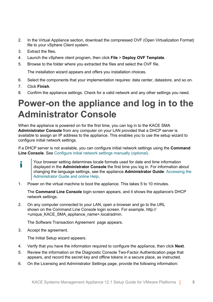- 2. In the Virtual Appliance section, download the compressed OVF (Open Virtualization Format) file to your vSphere Client system.
- 3. Extract the files.
- 4. Launch the vSphere client program, then click **File** > **Deploy OVF Template**.
- 5. Browse to the folder where you extracted the files and select the OVF file.

The installation wizard appears and offers you installation choices.

- 6. Select the components that your implementation requires: data center, datastore, and so on.
- 7. Click **Finish**.
- 8. Confirm the appliance settings. Check for a valid network and any other settings you need.

#### <span id="page-4-0"></span>**Power-on the appliance and log in to the Administrator Console**

When the appliance is powered on for the first time, you can log in to the KACE SMA **Administrator Console** from any computer on your LAN provided that a DHCP server is available to assign an IP address to the appliance. This enables you to use the setup wizard to configure initial network settings.

If a DHCP server is not available, you can configure initial network settings using the **Command Line Console**. See [Configure initial network settings manually \(optional\).](#page-6-0)

Your browser setting determines locale formats used for date and time information Ť displayed in the **Administrator Console** the first time you log in. For information about changing the language settings, see the appliance **Administrator Guide**: [Accessing the](#page-10-0) [Administrator Guide and online Help](#page-10-0).

1. Power on the virtual machine to boot the appliance. This takes 5 to 10 minutes.

The **Command Line Console** login screen appears, and it shows the appliance's DHCP network settings.

2. On any computer connected to your LAN, open a browser and go to the URL shown on the Command Line Console login screen. For example, http:// <unique\_KACE\_SMA\_appliance\_name>.local/admin.

The Software Transaction Agreement page appears.

3. Accept the agreement.

The Initial Setup wizard appears.

- 4. Verify that you have the information required to configure the appliance, then click **Next**.
- 5. Review the information on the Diagnostic Console Two-Factor Authentication page that appears, and record the secret key and offline tokens in a secure place, as instructed.
- 6. On the Licensing and Administrator Settings page, provide the following information: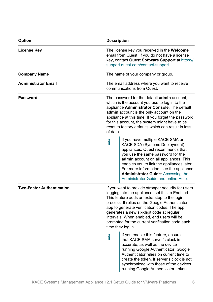| <b>Option</b>                    | <b>Description</b>                                                                                                                                                                                                                                                                                                                                                       |                                                                                                                                                                                                                                                                                                                                                                                                                            |  |
|----------------------------------|--------------------------------------------------------------------------------------------------------------------------------------------------------------------------------------------------------------------------------------------------------------------------------------------------------------------------------------------------------------------------|----------------------------------------------------------------------------------------------------------------------------------------------------------------------------------------------------------------------------------------------------------------------------------------------------------------------------------------------------------------------------------------------------------------------------|--|
| License Key                      |                                                                                                                                                                                                                                                                                                                                                                          | The license key you received in the <b>Welcome</b><br>email from Quest. If you do not have a license<br>key, contact Quest Software Support at https://<br>support.quest.com/contact-support.                                                                                                                                                                                                                              |  |
| <b>Company Name</b>              | The name of your company or group.                                                                                                                                                                                                                                                                                                                                       |                                                                                                                                                                                                                                                                                                                                                                                                                            |  |
| <b>Administrator Email</b>       |                                                                                                                                                                                                                                                                                                                                                                          | The email address where you want to receive<br>communications from Quest.                                                                                                                                                                                                                                                                                                                                                  |  |
| Password                         | The password for the default <b>admin</b> account,<br>which is the account you use to log in to the<br>appliance Administrator Console. The default<br>admin account is the only account on the<br>appliance at this time. If you forget the password<br>for this account, the system might have to be<br>reset to factory defaults which can result in loss<br>of data. |                                                                                                                                                                                                                                                                                                                                                                                                                            |  |
|                                  | Т                                                                                                                                                                                                                                                                                                                                                                        | If you have multiple KACE SMA or<br>KACE SDA (Systems Deployment)<br>appliances, Quest recommends that<br>you use the same password for the<br>admin account on all appliances. This<br>enables you to link the appliances later.<br>For more information, see the appliance<br><b>Administrator Guide: Accessing the</b><br>Administrator Guide and online Help.                                                          |  |
| <b>Two-Factor Authentication</b> |                                                                                                                                                                                                                                                                                                                                                                          | If you want to provide stronger security for users<br>logging into the appliance, set this to Enabled.<br>This feature adds an extra step to the login<br>process. It relies on the Google Authenticator<br>app to generate verification codes. The app<br>generates a new six-digit code at regular<br>intervals. When enabled, end users will be<br>prompted for the current verification code each<br>time they log in. |  |
|                                  | Т                                                                                                                                                                                                                                                                                                                                                                        | If you enable this feature, ensure<br>that KACE SMA server's clock is<br>accurate, as well as the device<br>running Google Authenticator. Google<br>Authenticator relies on current time to<br>create the token. If server's clock is not<br>synchronized with those of the devices<br>running Google Authenticator, token                                                                                                 |  |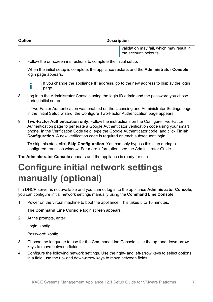**Option Description**

validation may fail, which may result in the account lockouts.

7. Follow the on-screen instructions to complete the initial setup.

When the initial setup is complete, the appliance restarts and the **Administrator Console** login page appears.



If you change the appliance IP address, go to the new address to display the login page.

8. Log in to the Administrator Console using the login ID admin and the password you chose during initial setup.

If Two-Factor Authentication was enabled on the Licensing and Administrator Settings page in the Initial Setup wizard, the Configure Two-Factor Authentication page appears.

9. **Two-Factor Authentication only**. Follow the instructions on the Configure Two-Factor Authentication page to generate a Google Authenticator verification code using your smart phone. In the Verification Code field, type the Google Authenticator code, and click **Finish Configuration**. A new verification code is required on each subsequent login.

To skip this step, click **Skip Configuration**. You can only bypass this step during a configured transition window. For more information, see the Administrator Guide.

The **Administrator Console** appears and the appliance is ready for use.

### <span id="page-6-0"></span>**Configure initial network settings manually (optional)**

If a DHCP server is not available and you cannot log in to the appliance **Administrator Console**, you can configure initial network settings manually using the **Command Line Console**.

1. Power on the virtual machine to boot the appliance. This takes 5 to 10 minutes.

The **Command Line Console** login screen appears.

2. At the prompts, enter:

Login: konfig

Password: konfig

- 3. Choose the language to use for the Command Line Console. Use the up- and down-arrow keys to move between fields.
- 4. Configure the following network settings. Use the right- and left-arrow keys to select options in a field; use the up- and down-arrow keys to move between fields.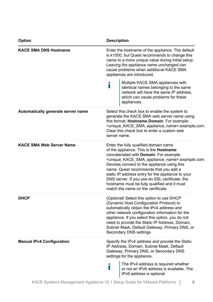| <b>Option</b>                      | <b>Description</b>                                                                                                                                                                                                                                                                                                                                                                                                                                                                                            |  |  |
|------------------------------------|---------------------------------------------------------------------------------------------------------------------------------------------------------------------------------------------------------------------------------------------------------------------------------------------------------------------------------------------------------------------------------------------------------------------------------------------------------------------------------------------------------------|--|--|
| <b>KACE SMA DNS Hostname</b>       | Enter the hostname of the appliance. The default<br>is k1000, but Quest recommends to change this<br>name to a more unique value during initial setup.<br>Leaving the appliance name unchanged can<br>cause problems when additional KACE SMA<br>appliances are introduced.<br>Multiple KACE SMA appliances with                                                                                                                                                                                              |  |  |
|                                    | Т<br>identical names belonging to the same<br>network will have the same IP address,<br>which can cause problems for these<br>appliances.                                                                                                                                                                                                                                                                                                                                                                     |  |  |
| Automatically generate server name | Select this check box to enable the system to<br>generate the KACE SMA web server name using<br>this format: Hostname.Domain. For example:<br><unique_kace_sma_appliance_name>.example.com.<br/>Clear this check box to enter a custom web<br/>server name.</unique_kace_sma_appliance_name>                                                                                                                                                                                                                  |  |  |
| <b>KACE SMA Web Server Name</b>    | Enter the fully qualified domain name<br>of the appliance. This is the <b>Hostname</b><br>concatenated with Domain. For example:<br><unique_kace_sma_appliance_name>.example.com.<br/>Devices connect to the appliance using this<br/>name. Quest recommends that you add a<br/>static IP address entry for the appliance to your<br/>DNS server. If you use an SSL certificate, the<br/>hostname must be fully qualified and it must<br/>match the name on the certificate.</unique_kace_sma_appliance_name> |  |  |
| <b>DHCP</b>                        | (Optional) Select this option to use DHCP<br>(Dynamic Host Configuration Protocol) to<br>automatically obtain the IPv4 address and<br>other network configuration information for the<br>appliance. If you select this option, you do not<br>need to provide the Static IP Address, Domain,<br>Subnet Mask, Default Gateway, Primary DNS, or<br>Secondary DNS settings.                                                                                                                                       |  |  |
| <b>Manual IPv4 Configuration</b>   | Specify the IPv4 address and provide the Static<br>IP Address, Domain, Subnet Mask, Default<br>Gateway, Primary DNS, or Secondary DNS<br>settings for the appliance.<br>The IPv4 address is required whether<br>T<br>or not an IPv6 address is available. The<br>IPv6 address is optional.                                                                                                                                                                                                                    |  |  |
|                                    |                                                                                                                                                                                                                                                                                                                                                                                                                                                                                                               |  |  |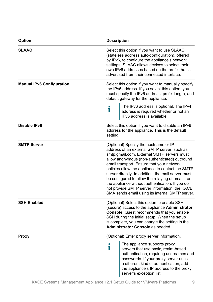| Option                           | <b>Description</b>                                                                                                                                                                                                                                                                                                                                                                                                                                                                                                                                    |  |  |
|----------------------------------|-------------------------------------------------------------------------------------------------------------------------------------------------------------------------------------------------------------------------------------------------------------------------------------------------------------------------------------------------------------------------------------------------------------------------------------------------------------------------------------------------------------------------------------------------------|--|--|
| <b>SLAAC</b>                     | Select this option if you want to use SLAAC<br>(stateless address auto-configuration), offered<br>by IPv6, to configure the appliance's network<br>settings. SLAAC allows devices to select their<br>own IPv6 addresses based on the prefix that is<br>advertised from their connected interface.                                                                                                                                                                                                                                                     |  |  |
| <b>Manual IPv6 Configuration</b> | Select this option if you want to manually specify<br>the IPv6 address. If you select this option, you<br>must specify the IPv6 address, prefix length, and<br>default gateway for the appliance.                                                                                                                                                                                                                                                                                                                                                     |  |  |
|                                  | The IPv6 address is optional. The IPv4<br>i<br>address is required whether or not an<br>IPv6 address is available.                                                                                                                                                                                                                                                                                                                                                                                                                                    |  |  |
| Disable IPv6                     | Select this option if you want to disable an IPv6<br>address for the appliance. This is the default<br>setting.                                                                                                                                                                                                                                                                                                                                                                                                                                       |  |  |
| <b>SMTP Server</b>               | (Optional) Specify the hostname or IP<br>address of an external SMTP server, such as<br>smtp.gmail.com. External SMTP servers must<br>allow anonymous (non-authenticated) outbound<br>email transport. Ensure that your network<br>policies allow the appliance to contact the SMTP<br>server directly. In addition, the mail server must<br>be configured to allow the relaying of email from<br>the appliance without authentication. If you do<br>not provide SMTP server information, the KACE<br>SMA sends email using its internal SMTP server. |  |  |
| <b>SSH Enabled</b>               | (Optional) Select this option to enable SSH<br>(secure) access to the appliance Administrator<br><b>Console.</b> Quest recommends that you enable<br>SSH during the initial setup. When the setup<br>is complete, you can change the setting in the<br>Administrator Console as needed.                                                                                                                                                                                                                                                               |  |  |
| Proxy                            | (Optional) Enter proxy server information.                                                                                                                                                                                                                                                                                                                                                                                                                                                                                                            |  |  |
|                                  | The appliance supports proxy<br>i<br>servers that use basic, realm-based<br>authentication, requiring usernames and<br>passwords. If your proxy server uses<br>a different kind of authentication, add<br>the appliance's IP address to the proxy<br>server's exception list.                                                                                                                                                                                                                                                                         |  |  |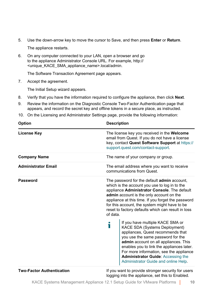5. Use the down-arrow key to move the cursor to Save, and then press **Enter** or **Return**.

The appliance restarts.

6. On any computer connected to your LAN, open a browser and go to the appliance Administrator Console URL. For example, http:// <unique\_KACE\_SMA\_appliance\_name>.local/admin.

The Software Transaction Agreement page appears.

7. Accept the agreement.

The Initial Setup wizard appears.

- 8. Verify that you have the information required to configure the appliance, then click **Next**.
- 9. Review the information on the Diagnostic Console Two-Factor Authentication page that appears, and record the secret key and offline tokens in a secure place, as instructed.
- 10. On the Licensing and Administrator Settings page, provide the following information:

| <b>Option</b>                    | <b>Description</b>                                                                                                                                                                                                                                                                                                                                                       |  |
|----------------------------------|--------------------------------------------------------------------------------------------------------------------------------------------------------------------------------------------------------------------------------------------------------------------------------------------------------------------------------------------------------------------------|--|
| <b>License Key</b>               | The license key you received in the <b>Welcome</b><br>email from Quest. If you do not have a license<br>key, contact Quest Software Support at https://<br>support.quest.com/contact-support.                                                                                                                                                                            |  |
| <b>Company Name</b>              | The name of your company or group.                                                                                                                                                                                                                                                                                                                                       |  |
| <b>Administrator Email</b>       | The email address where you want to receive<br>communications from Quest.                                                                                                                                                                                                                                                                                                |  |
| Password                         | The password for the default <b>admin</b> account,<br>which is the account you use to log in to the<br>appliance Administrator Console. The default<br>admin account is the only account on the<br>appliance at this time. If you forget the password<br>for this account, the system might have to be<br>reset to factory defaults which can result in loss<br>of data. |  |
|                                  | If you have multiple KACE SMA or<br>i<br>KACE SDA (Systems Deployment)<br>appliances, Quest recommends that<br>you use the same password for the<br>admin account on all appliances. This<br>enables you to link the appliances later.<br>For more information, see the appliance<br><b>Administrator Guide: Accessing the</b><br>Administrator Guide and online Help.   |  |
| <b>Two-Factor Authentication</b> | If you want to provide stronger security for users                                                                                                                                                                                                                                                                                                                       |  |

logging into the appliance, set this to Enabled.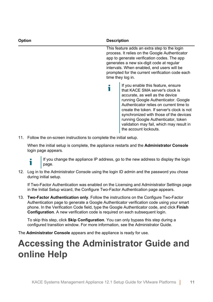| <b>Option</b> | <b>Description</b>                                                                                                                                                                                                                                                                                                                                                                              |  |
|---------------|-------------------------------------------------------------------------------------------------------------------------------------------------------------------------------------------------------------------------------------------------------------------------------------------------------------------------------------------------------------------------------------------------|--|
|               | This feature adds an extra step to the login<br>process. It relies on the Google Authenticator<br>app to generate verification codes. The app<br>generates a new six-digit code at regular<br>intervals. When enabled, end users will be<br>prompted for the current verification code each<br>time they log in.                                                                                |  |
|               | If you enable this feature, ensure<br>that KACE SMA server's clock is<br>accurate, as well as the device<br>running Google Authenticator. Google<br>Authenticator relies on current time to<br>create the token. If server's clock is not<br>synchronized with those of the devices<br>running Google Authenticator, token<br>validation may fail, which may result in<br>the account lockouts. |  |

11. Follow the on-screen instructions to complete the initial setup.

When the initial setup is complete, the appliance restarts and the **Administrator Console** login page appears.

i

If you change the appliance IP address, go to the new address to display the login page.

12. Log in to the Administrator Console using the login ID admin and the password you chose during initial setup.

If Two-Factor Authentication was enabled on the Licensing and Administrator Settings page in the Initial Setup wizard, the Configure Two-Factor Authentication page appears.

13. **Two-Factor Authentication only**. Follow the instructions on the Configure Two-Factor Authentication page to generate a Google Authenticator verification code using your smart phone. In the Verification Code field, type the Google Authenticator code, and click **Finish Configuration**. A new verification code is required on each subsequent login.

To skip this step, click **Skip Configuration**. You can only bypass this step during a configured transition window. For more information, see the Administrator Guide.

The **Administrator Console** appears and the appliance is ready for use.

#### <span id="page-10-0"></span>**Accessing the Administrator Guide and online Help**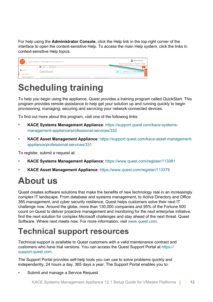For help using the **Administrator Console**, click the Help link in the top-right corner of the interface to open the context-sensitive Help. To access the main Help system, click the links in context-sensitive Help topics.

| 6 Q D               | KACE Systems Management Appliance | admin (Default) v<br>Session Timeout: 00:59:13 . 07/28/2017 16:53:29 |
|---------------------|-----------------------------------|----------------------------------------------------------------------|
|                     | < The Home > Dashboard            | o                                                                    |
| n Home<br>Dashboard | Dashboard                         | e<br><b>View Details</b><br>Customize                                |
| Label Management    | The Result des Bess Lables        | <b>The annual Alberta Anglickers</b>                                 |

#### <span id="page-11-0"></span>**Scheduling training**

To help you begin using the appliance, Quest provides a training program called QuickStart. This program provides remote assistance to help get your solution up and running quickly to begin provisioning, managing, securing and servicing your network-connected devices.

To find out more about this program, visit one of the following links:

- **KACE Systems Management Appliance**: [https://support.quest.com/kace-systems](https://support.quest.com/kace-systems-management-appliance/professional-services/332)[management-appliance/professional-services/332](https://support.quest.com/kace-systems-management-appliance/professional-services/332)
- **KACE Asset Management Appliance**: [https://support.quest.com/kace-asset-management](https://support.quest.com/kace-asset-management-appliance/professional-services/331)[appliance/professional-services/331](https://support.quest.com/kace-asset-management-appliance/professional-services/331)

To register, submit a request at:

- **KACE Systems Management Appliance**: <https://www.quest.com/register/113381>
- **KACE Asset Management Appliance**: <https://www.quest.com/register/113379>

## <span id="page-11-1"></span>**About us**

Quest creates software solutions that make the benefits of new technology real in an increasingly complex IT landscape. From database and systems management, to Active Directory and Office 365 management, and cyber security resilience, Quest helps customers solve their next IT challenge now. Around the globe, more than 130,000 companies and 95% of the Fortune 500 count on Quest to deliver proactive management and monitoring for the next enterprise initiative, find the next solution for complex Microsoft challenges and stay ahead of the next threat. Quest Software. Where next meets now. For more information, visit [www.quest.com](https://www.quest.com/company/contact-us.aspx).

#### <span id="page-11-2"></span>**Technical support resources**

Technical support is available to Quest customers with a valid maintenance contract and customers who have trial versions. You can access the Quest Support Portal at [https://](https://support.quest.com/) [support.quest.com.](https://support.quest.com/)

The Support Portal provides self-help tools you can use to solve problems quickly and independently, 24 hours a day, 365 days a year. The Support Portal enables you to:

Submit and manage a Service Request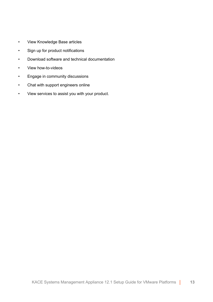- View Knowledge Base articles
- Sign up for product notifications
- Download software and technical documentation
- View how-to-videos
- Engage in community discussions
- Chat with support engineers online
- View services to assist you with your product.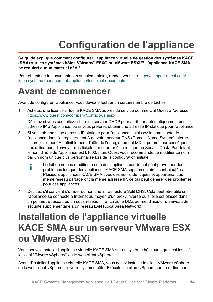## **Configuration de l'appliance**

<span id="page-13-0"></span>**Ce guide explique comment configurer l'appliance virtuelle de gestion des systèmes KACE (SMA) sur les systèmes hôtes VMware® ESX® ou VMware ESXi™.L'appliance KACE SMA ne requiert aucun matériel dédié.**

Pour obtenir de la documentation supplémentaire, rendez-vous sur [https://support.quest.com/](https://support.quest.com/kace-systems-management-appliance/technical-documents) [kace-systems-management-appliance/technical-documents.](https://support.quest.com/kace-systems-management-appliance/technical-documents)

#### <span id="page-13-1"></span>**Avant de commencer**

Avant de configurer l'appliance, vous devez effectuer un certain nombre de tâches.

- 1. Achetez une licence virtuelle KACE SMA auprès du service commercial Quest à l'adresse <https://www.quest.com/company/contact-us.aspx>.
- 2. Décidez si vous souhaitez utiliser un serveur DHCP pour attribuer automatiquement une adresse IP à l'appliance, ou si vous préférez obtenir une adresse IP statique pour l'appliance.
- 3. Si vous obtenez une adresse IP statique pour l'appliance, saisissez le nom d'hôte de l'appliance dans l'enregistrement A de votre serveur DNS (Domain Name System) interne. L'enregistrement A définit le nom d'hôte de l'enregistrement MX et permet, par conséquent, aux utilisateurs d'envoyer des tickets par courrier électronique au Service Desk. Par défaut, le nom d'hôte de l'appliance est k1000, mais Quest vous recommande de modifier ce nom par un nom unique plus personnalisé lors de la configuration initiale.
	- Le fait de ne pas modifier le nom de l'appliance par défaut peut provoquer des i problèmes lorsque des appliances KACE SMA supplémentaires sont ajoutées. Plusieurs appliances KACE SMA avec des noms identiques et appartenant au même réseau partageront la même adresse IP, ce qui peut générer des problèmes pour ces appliances.
- 4. Décidez s'il convient d'utiliser ou non une infrastructure Split DNS. Cela peut être utile si l'appliance se connecte à Internet au moyen d'un proxy inverse ou si elle est placée dans un périmètre réseau ou un sous-réseau filtré. La zone DMZ permet d'ajouter un niveau de sécurité supplémentaire à un réseau LAN (Local Area Network).

#### <span id="page-13-2"></span>**Installation de l'appliance virtuelle KACE SMA sur un serveur VMware ESX ou VMware ESXi**

Vous pouvez installer l'appliance virtuelle KACE SMA sur un système hôte sur lequel est installé le client VMware vSphere® ou le web client vSphere.

Avant d'installer l'appliance virtuelle KACE SMA, vous devez installer le client VMware vSphere ou le web client vSphere sur votre système hôte. Exécutez le client vSphere sur un ordinateur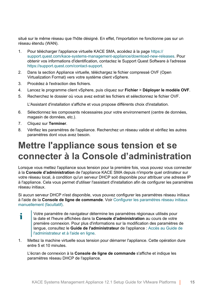situé sur le même réseau que l'hôte désigné. En effet, l'importation ne fonctionne pas sur un réseau étendu (WAN).

- 1. Pour télécharger l'appliance virtuelle KACE SMA, accédez à la page [https://](https://support.quest.com/kace-systems-management-appliance/download-new-releases) [support.quest.com/kace-systems-management-appliance/download-new-releases.](https://support.quest.com/kace-systems-management-appliance/download-new-releases) Pour obtenir vos informations d'identification, contactez le Support Quest Software à l'adresse <https://support.quest.com/contact-support>.
- 2. Dans la section Appliance virtuelle, téléchargez le fichier compressé OVF (Open Virtualization Format) vers votre système client vSphere.
- 3. Procédez à l'extraction des fichiers.
- 4. Lancez le programme client vSphere, puis cliquez sur **Fichier** > **Déployer le modèle OVF**.
- 5. Recherchez le dossier où vous avez extrait les fichiers et sélectionnez le fichier OVF.

L'Assistant d'installation s'affiche et vous propose différents choix d'installation.

- 6. Sélectionnez les composants nécessaires pour votre environnement (centre de données, magasin de données, etc.).
- 7. Cliquez sur **Terminer**.
- 8. Vérifiez les paramètres de l'appliance. Recherchez un réseau valide et vérifiez les autres paramètres dont vous avez besoin.

#### <span id="page-14-0"></span>**Mettre l'appliance sous tension et se connecter à la Console d'administration**

Lorsque vous mettez l'appliance sous tension pour la première fois, vous pouvez vous connecter à la **Console d'administration** de l'appliance KACE SMA depuis n'importe quel ordinateur sur votre réseau local, à condition qu'un serveur DHCP soit disponible pour attribuer une adresse IP à l'appliance. Cela vous permet d'utiliser l'assistant d'installation afin de configurer les paramètres réseau initiaux.

Si aucun serveur DHCP n'est disponible, vous pouvez configurer les paramètres réseau initiaux à l'aide de la **Console de ligne de commande**. Voir [Configurer les paramètres réseau initiaux](#page-17-0) [manuellement \(facultatif\).](#page-17-0)

- Votre paramètre de navigateur détermine les paramètres régionaux utilisés pour i la date et l'heure affichées dans la **Console d'administration** au cours de votre première connexion. Pour plus d'informations sur la modification des paramètres de langue, consultez le **Guide de l'administrateur** de l'appliance : [Accès au Guide de](#page-22-0) [l'administrateur et à l'aide en ligne](#page-22-0).
- 1. Mettez la machine virtuelle sous tension pour démarrer l'appliance. Cette opération dure entre 5 et 10 minutes.

L'écran de connexion à la **Console de ligne de commande** s'affiche et indique les paramètres réseau DHCP de l'appliance.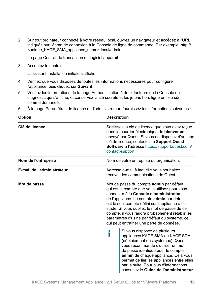2. Sur tout ordinateur connecté à votre réseau local, ouvrez un navigateur et accédez à l'URL indiquée sur l'écran de connexion à la Console de ligne de commande. Par exemple, http:// <unique\_KACE\_SMA\_appliance\_name>.local/admin.

La page Contrat de transaction du logiciel apparaît.

3. Acceptez le contrat.

L'assistant Installation initiale s'affiche.

- 4. Vérifiez que vous disposez de toutes les informations nécessaires pour configurer l'appliance, puis cliquez sur **Suivant**.
- 5. Vérifiez les informations de la page Authentification à deux facteurs de la Console de diagnostic qui s'affiche, et conservez la clé secrète et les jetons hors ligne en lieu sûr, comme demandé.

|  |  |  | 6. À la page Paramètres de licence et d'administrateur, fournissez les informations suivantes : |
|--|--|--|-------------------------------------------------------------------------------------------------|
|--|--|--|-------------------------------------------------------------------------------------------------|

|                                                                                                                                                                                                                                                                      | <b>Description</b>                                                                                                                                                                                                                                                                                                                                                                                                                          |  |
|----------------------------------------------------------------------------------------------------------------------------------------------------------------------------------------------------------------------------------------------------------------------|---------------------------------------------------------------------------------------------------------------------------------------------------------------------------------------------------------------------------------------------------------------------------------------------------------------------------------------------------------------------------------------------------------------------------------------------|--|
| Saisissez la clé de licence que vous avez reçue<br>dans le courrier électronique de bienvenue<br>envoyé par Quest. Si vous ne disposez d'aucune<br>clé de licence, contactez le Support Quest<br>Software à l'adresse https://support.quest.com/<br>contact-support. |                                                                                                                                                                                                                                                                                                                                                                                                                                             |  |
| Nom de votre entreprise ou organisation.                                                                                                                                                                                                                             |                                                                                                                                                                                                                                                                                                                                                                                                                                             |  |
|                                                                                                                                                                                                                                                                      | Adresse e-mail à laquelle vous souhaitez<br>recevoir les communications de Quest.                                                                                                                                                                                                                                                                                                                                                           |  |
| Mot de passe                                                                                                                                                                                                                                                         |                                                                                                                                                                                                                                                                                                                                                                                                                                             |  |
| i                                                                                                                                                                                                                                                                    | Si vous disposez de plusieurs<br>appliances KACE SMA ou KACE SDA<br>(déploiement des systèmes), Quest<br>vous recommande d'utiliser un mot<br>de passe identique pour le compte<br>admin de chaque appliance. Cela vous<br>permet de lier les appliances entre elles<br>par la suite. Pour plus d'informations,<br>consultez le Guide de l'administrateur                                                                                   |  |
|                                                                                                                                                                                                                                                                      | Mot de passe du compte <b>admin</b> par défaut,<br>qui est le compte que vous utilisez pour vous<br>connecter à la Console d'administration<br>de l'appliance. Le compte admin par défaut<br>est le seul compte défini sur l'appliance à ce<br>stade. Si vous oubliez le mot de passe de ce<br>compte, il vous faudra probablement rétablir les<br>paramètres d'usine par défaut du système, ce<br>qui peut entraîner une perte de données. |  |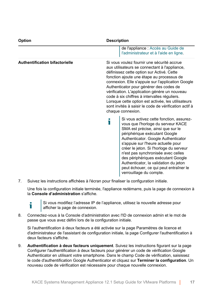| <b>Option</b>                         | <b>Description</b>                                                                                                                                                                                                                                                                                                                                                                                                                                                                                                         |  |  |
|---------------------------------------|----------------------------------------------------------------------------------------------------------------------------------------------------------------------------------------------------------------------------------------------------------------------------------------------------------------------------------------------------------------------------------------------------------------------------------------------------------------------------------------------------------------------------|--|--|
|                                       | de l'appliance : Accès au Guide de<br>l'administrateur et à l'aide en ligne.                                                                                                                                                                                                                                                                                                                                                                                                                                               |  |  |
| <b>Authentification bifactorielle</b> | Si vous voulez fournir une sécurité accrue<br>aux utilisateurs se connectant à l'appliance,<br>définissez cette option sur Activé. Cette<br>fonction ajoute une étape au processus de<br>connexion. Elle s'appuie sur l'application Google<br>Authenticator pour générer des codes de<br>vérification. L'application génère un nouveau<br>code à six chiffres à intervalles réguliers.<br>Lorsque cette option est activée, les utilisateurs<br>sont invités à saisir le code de vérification actif à<br>chaque connexion. |  |  |
|                                       | Si vous activez cette fonction, assurez-<br>i<br>vous que l'horloge du serveur KACE<br>SMA est précise, ainsi que sur le<br>périphérique exécutant Google<br>Authenticator. Google Authenticator<br>s'appuie sur l'heure actuelle pour<br>créer le jeton. Si l'horloge du serveur<br>n'est pas synchronisée avec celles<br>des périphériques exécutant Google<br>Authenticator, la validation du jeton<br>peut échouer, ce qui peut entraîner le<br>verrouillage du compte.                                                |  |  |

7. Suivez les instructions affichées à l'écran pour finaliser la configuration initiale.

Une fois la configuration initiale terminée, l'appliance redémarre, puis la page de connexion à la **Console d'administration** s'affiche.



Si vous modifiez l'adresse IP de l'appliance, utilisez la nouvelle adresse pour afficher la page de connexion.

8. Connectez-vous à la Console d'administration avec l'ID de connexion admin et le mot de passe que vous avez défini lors de la configuration initiale.

Si l'authentification à deux facteurs a été activée sur la page Paramètres de licence et d'administrateur de l'assistant de configuration initiale, la page Configurer l'authentification à deux facteurs s'affiche.

9. **Authentification à deux facteurs uniquement**. Suivez les instructions figurant sur la page Configurer l'authentification à deux facteurs pour générer un code de vérification Google Authenticator en utilisant votre smartphone. Dans le champ Code de vérification, saisissez le code d'authentification Google Authenticator et cliquez sur **Terminer la configuration**. Un nouveau code de vérification est nécessaire pour chaque nouvelle connexion.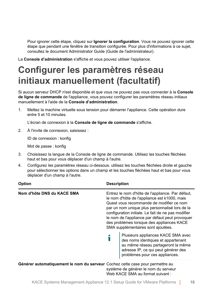Pour ignorer cette étape, cliquez sur **Ignorer la configuration**. Vous ne pouvez ignorer cette étape que pendant une fenêtre de transition configurée. Pour plus d'informations à ce sujet, consultez le document Administrator Guide (Guide de l'administrateur).

La **Console d'administration** s'affiche et vous pouvez utiliser l'appliance.

## <span id="page-17-0"></span>**Configurer les paramètres réseau initiaux manuellement (facultatif)**

Si aucun serveur DHCP n'est disponible et que vous ne pouvez pas vous connecter à la **Console de ligne de commande** de l'appliance, vous pouvez configurer les paramètres réseau initiaux manuellement à l'aide de la **Console d'administration**.

1. Mettez la machine virtuelle sous tension pour démarrer l'appliance. Cette opération dure entre 5 et 10 minutes.

L'écran de connexion à la **Console de ligne de commande** s'affiche.

2. À l'invite de connexion, saisissez :

ID de connexion : konfig

Mot de passe : konfig

- 3. Choisissez la langue de la Console de ligne de commande. Utilisez les touches fléchées haut et bas pour vous déplacer d'un champ à l'autre.
- 4. Configurez les paramètres réseau ci-dessous. utilisez les touches fléchées droite et gauche pour sélectionner les options dans un champ et les touches fléchées haut et bas pour vous déplacer d'un champ à l'autre.

| <b>Option</b>                                                                 | <b>Description</b>                                                                                                                                                                                                                                                                                                                                                                         |                                                                                                                                                                                         |  |
|-------------------------------------------------------------------------------|--------------------------------------------------------------------------------------------------------------------------------------------------------------------------------------------------------------------------------------------------------------------------------------------------------------------------------------------------------------------------------------------|-----------------------------------------------------------------------------------------------------------------------------------------------------------------------------------------|--|
| Nom d'hôte DNS du KACE SMA                                                    | Entrez le nom d'hôte de l'appliance. Par défaut,<br>le nom d'hôte de l'appliance est k1000, mais<br>Quest vous recommande de modifier ce nom<br>par un nom unique plus personnalisé lors de la<br>configuration initiale. Le fait de ne pas modifier<br>le nom de l'appliance par défaut peut provoquer<br>des problèmes lorsque des appliances KACE<br>SMA supplémentaires sont ajoutées. |                                                                                                                                                                                         |  |
|                                                                               |                                                                                                                                                                                                                                                                                                                                                                                            | Plusieurs appliances KACE SMA avec<br>des noms identiques et appartenant<br>au même réseau partageront la même<br>adresse IP, ce qui peut générer des<br>problèmes pour ces appliances. |  |
| Générer automatiquement le nom du serveur Cochez cette case pour permettre au |                                                                                                                                                                                                                                                                                                                                                                                            | système de générer le nom du serveur<br>Web KACE SMA au format suivant :                                                                                                                |  |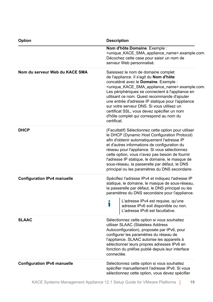| <b>Option</b>                      | <b>Description</b>                                                                                                                                                                                                                                                                                                                                                                                                                                                                                                                                                                                                                                                                                                                                                                                                                                                                                                                                                                                         |  |
|------------------------------------|------------------------------------------------------------------------------------------------------------------------------------------------------------------------------------------------------------------------------------------------------------------------------------------------------------------------------------------------------------------------------------------------------------------------------------------------------------------------------------------------------------------------------------------------------------------------------------------------------------------------------------------------------------------------------------------------------------------------------------------------------------------------------------------------------------------------------------------------------------------------------------------------------------------------------------------------------------------------------------------------------------|--|
|                                    | Nom d'hôte Domaine. Exemple :<br><unique_kace_sma_appliance_name>.example.com.<br/>Décochez cette case pour saisir un nom de<br/>serveur Web personnalisé.</unique_kace_sma_appliance_name>                                                                                                                                                                                                                                                                                                                                                                                                                                                                                                                                                                                                                                                                                                                                                                                                                |  |
| Nom du serveur Web du KACE SMA     | Saisissez le nom de domaine complet<br>de l'appliance. Il s'agit du Nom d'hôte<br>concaténé avec le Domaine. Exemple :<br><unique_kace_sma_appliance_name>.example.com.<br/>Les périphériques se connectent à l'appliance en<br/>utilisant ce nom. Quest recommande d'ajouter<br/>une entrée d'adresse IP statique pour l'appliance<br/>sur votre serveur DNS. Si vous utilisez un<br/>certificat SSL, vous devez spécifier un nom<br/>d'hôte complet qui correspond au nom du<br/>certificat.<br/>(Facultatif) Sélectionnez cette option pour utiliser<br/>le DHCP (Dynamic Host Configuration Protocol)<br/>afin d'obtenir automatiquement l'adresse IP<br/>et d'autres informations de configuration du<br/>réseau pour l'appliance. Si vous sélectionnez<br/>cette option, vous n'avez pas besoin de fournir<br/>l'adresse IP statique, le domaine, le masque de<br/>sous-réseau, la passerelle par défaut, le DNS<br/>principal ou les paramètres du DNS secondaire.</unique_kace_sma_appliance_name> |  |
| <b>DHCP</b>                        |                                                                                                                                                                                                                                                                                                                                                                                                                                                                                                                                                                                                                                                                                                                                                                                                                                                                                                                                                                                                            |  |
| <b>Configuration IPv4 manuelle</b> | Spécifiez l'adresse IPv4 et indiquez l'adresse IP<br>statique, le domaine, le masque de sous-réseau,<br>la passerelle par défaut, le DNS principal ou les<br>paramètres du DNS secondaire pour l'appliance.                                                                                                                                                                                                                                                                                                                                                                                                                                                                                                                                                                                                                                                                                                                                                                                                |  |
|                                    | L'adresse IPv4 est requise, qu'une<br>Т<br>adresse IPv6 soit disponible ou non.<br>L'adresse IPv6 soit disponible ou non.                                                                                                                                                                                                                                                                                                                                                                                                                                                                                                                                                                                                                                                                                                                                                                                                                                                                                  |  |
| <b>SLAAC</b>                       | Sélectionnez cette option si vous souhaitez<br>utiliser SLAAC (Stateless Address<br>Autoconfiguration), proposée par IPv6, pour<br>configurer les paramètres du réseau de<br>l'appliance. SLAAC autorise les appareils à<br>sélectionner leurs propres adresses IPv6 en<br>fonction du préfixe publié depuis leur interface<br>connectée.                                                                                                                                                                                                                                                                                                                                                                                                                                                                                                                                                                                                                                                                  |  |
| <b>Configuration IPv6 manuelle</b> | Sélectionnez cette option si vous souhaitez<br>spécifier manuellement l'adresse IPv6. Si vous<br>sélectionnez cette option, vous devez spécifier                                                                                                                                                                                                                                                                                                                                                                                                                                                                                                                                                                                                                                                                                                                                                                                                                                                           |  |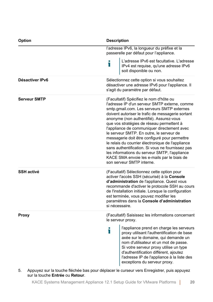| <b>Option</b>       | <b>Description</b>                                                                                                                                                                                                                                                                                                                                                                                                                                                                                                                                                                                                                                                    |  |
|---------------------|-----------------------------------------------------------------------------------------------------------------------------------------------------------------------------------------------------------------------------------------------------------------------------------------------------------------------------------------------------------------------------------------------------------------------------------------------------------------------------------------------------------------------------------------------------------------------------------------------------------------------------------------------------------------------|--|
|                     | l'adresse IPv6, la longueur du préfixe et la<br>passerelle par défaut pour l'appliance.                                                                                                                                                                                                                                                                                                                                                                                                                                                                                                                                                                               |  |
|                     | L'adresse IPv6 est facultative. L'adresse<br>i<br>IPv4 est requise, qu'une adresse IPv6<br>soit disponible ou non.                                                                                                                                                                                                                                                                                                                                                                                                                                                                                                                                                    |  |
| Désactiver IPv6     | Sélectionnez cette option si vous souhaitez<br>désactiver une adresse IPv6 pour l'appliance. Il<br>s'agit du paramètre par défaut.                                                                                                                                                                                                                                                                                                                                                                                                                                                                                                                                    |  |
| <b>Serveur SMTP</b> | (Facultatif) Spécifiez le nom d'hôte ou<br>l'adresse IP d'un serveur SMTP externe, comme<br>smtp.gmail.com. Les serveurs SMTP externes<br>doivent autoriser le trafic de messagerie sortant<br>anonyme (non authentifié). Assurez-vous<br>que vos stratégies de réseau permettent à<br>l'appliance de communiquer directement avec<br>le serveur SMTP. En outre, le serveur de<br>messagerie doit être configuré pour permettre<br>le relais du courrier électronique de l'appliance<br>sans authentification. Si vous ne fournissez pas<br>les informations du serveur SMTP, l'appliance<br>KACE SMA envoie les e-mails par le biais de<br>son serveur SMTP interne. |  |
| <b>SSH activé</b>   | (Facultatif) Sélectionnez cette option pour<br>activer l'accès SSH (sécurisé) à la Console<br>d'administration de l'appliance. Quest vous<br>recommande d'activer le protocole SSH au cours<br>de l'installation initiale. Lorsque la configuration<br>est terminée, vous pouvez modifier les<br>paramètres dans la Console d'administration<br>si nécessaire.                                                                                                                                                                                                                                                                                                        |  |
| Proxy               | (Facultatif) Saisissez les informations concernant<br>le serveur proxy.                                                                                                                                                                                                                                                                                                                                                                                                                                                                                                                                                                                               |  |
|                     | l'appliance prend en charge les serveurs<br>i<br>proxy utilisant l'authentification de base<br>axée sur le domaine, qui demande un<br>nom d'utilisateur et un mot de passe.<br>Si votre serveur proxy utilise un type<br>d'authentification différent, ajoutez<br>l'adresse IP de l'appliance à la liste des<br>exceptions du serveur proxy.                                                                                                                                                                                                                                                                                                                          |  |

5. Appuyez sur la touche fléchée bas pour déplacer le curseur vers Enregistrer, puis appuyez sur la touche **Entrée** ou **Retour**.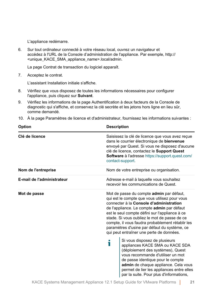L'appliance redémarre.

6. Sur tout ordinateur connecté à votre réseau local, ouvrez un navigateur et accédez à l'URL de la Console d'administration de l'appliance. Par exemple, http:// <unique\_KACE\_SMA\_appliance\_name>.local/admin.

La page Contrat de transaction du logiciel apparaît.

7. Acceptez le contrat.

L'assistant Installation initiale s'affiche.

- 8. Vérifiez que vous disposez de toutes les informations nécessaires pour configurer l'appliance, puis cliquez sur **Suivant**.
- 9. Vérifiez les informations de la page Authentification à deux facteurs de la Console de diagnostic qui s'affiche, et conservez la clé secrète et les jetons hors ligne en lieu sûr, comme demandé.
- 10. À la page Paramètres de licence et d'administrateur, fournissez les informations suivantes :

| <b>Option</b>              | <b>Description</b>                                                                                                                                                                                                                                                                                                                                                                                                                   |
|----------------------------|--------------------------------------------------------------------------------------------------------------------------------------------------------------------------------------------------------------------------------------------------------------------------------------------------------------------------------------------------------------------------------------------------------------------------------------|
| Clé de licence             | Saisissez la clé de licence que vous avez reçue<br>dans le courrier électronique de bienvenue<br>envoyé par Quest. Si vous ne disposez d'aucune<br>clé de licence, contactez le Support Quest<br><b>Software à l'adresse https://support.quest.com/</b><br>contact-support.                                                                                                                                                          |
| Nom de l'entreprise        | Nom de votre entreprise ou organisation.                                                                                                                                                                                                                                                                                                                                                                                             |
| E-mail de l'administrateur | Adresse e-mail à laquelle vous souhaitez<br>recevoir les communications de Quest.                                                                                                                                                                                                                                                                                                                                                    |
| Mot de passe               | Mot de passe du compte admin par défaut,<br>qui est le compte que vous utilisez pour vous<br>connecter à la Console d'administration<br>de l'appliance. Le compte admin par défaut<br>est le seul compte défini sur l'appliance à ce<br>stade. Si vous oubliez le mot de passe de ce<br>compte, il vous faudra probablement rétablir les<br>paramètres d'usine par défaut du système, ce<br>qui peut entraîner une perte de données. |
|                            | Si vous disposez de plusieurs<br>i<br>appliances KACE SMA ou KACE SDA<br>(déploiement des systèmes), Quest<br>vous recommande d'utiliser un mot<br>de passe identique pour le compte<br>admin de chaque appliance. Cela vous<br>permet de lier les appliances entre elles<br>par la suite. Pour plus d'informations,                                                                                                                 |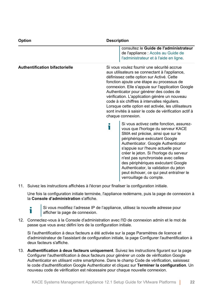| <b>Option</b>                         | <b>Description</b>                                                                                                                                                                                                                                                                                                                                                                                                                                                                                                         |
|---------------------------------------|----------------------------------------------------------------------------------------------------------------------------------------------------------------------------------------------------------------------------------------------------------------------------------------------------------------------------------------------------------------------------------------------------------------------------------------------------------------------------------------------------------------------------|
|                                       | consultez le Guide de l'administrateur<br>de l'appliance : Accès au Guide de<br>l'administrateur et à l'aide en ligne.                                                                                                                                                                                                                                                                                                                                                                                                     |
| <b>Authentification bifactorielle</b> | Si vous voulez fournir une sécurité accrue<br>aux utilisateurs se connectant à l'appliance,<br>définissez cette option sur Activé. Cette<br>fonction ajoute une étape au processus de<br>connexion. Elle s'appuie sur l'application Google<br>Authenticator pour générer des codes de<br>vérification. L'application génère un nouveau<br>code à six chiffres à intervalles réguliers.<br>Lorsque cette option est activée, les utilisateurs<br>sont invités à saisir le code de vérification actif à<br>chaque connexion. |
|                                       | Si vous activez cette fonction, assurez-<br>Ť<br>vous que l'horloge du serveur KACE<br>SMA est précise, ainsi que sur le<br>périphérique exécutant Google<br>Authenticator. Google Authenticator<br>s'appuie sur l'heure actuelle pour<br>créer le jeton. Si l'horloge du serveur<br>n'est pas synchronisée avec celles<br>des périphériques exécutant Google<br>Authenticator, la validation du jeton<br>peut échouer, ce qui peut entraîner le<br>verrouillage du compte.                                                |

11. Suivez les instructions affichées à l'écran pour finaliser la configuration initiale.

Une fois la configuration initiale terminée, l'appliance redémarre, puis la page de connexion à la **Console d'administration** s'affiche.



Si vous modifiez l'adresse IP de l'appliance, utilisez la nouvelle adresse pour afficher la page de connexion.

12. Connectez-vous à la Console d'administration avec l'ID de connexion admin et le mot de passe que vous avez défini lors de la configuration initiale.

Si l'authentification à deux facteurs a été activée sur la page Paramètres de licence et d'administrateur de l'assistant de configuration initiale, la page Configurer l'authentification à deux facteurs s'affiche.

13. **Authentification à deux facteurs uniquement**. Suivez les instructions figurant sur la page Configurer l'authentification à deux facteurs pour générer un code de vérification Google Authenticator en utilisant votre smartphone. Dans le champ Code de vérification, saisissez le code d'authentification Google Authenticator et cliquez sur **Terminer la configuration**. Un nouveau code de vérification est nécessaire pour chaque nouvelle connexion.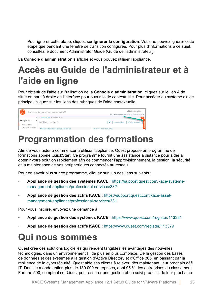Pour ignorer cette étape, cliquez sur **Ignorer la configuration**. Vous ne pouvez ignorer cette étape que pendant une fenêtre de transition configurée. Pour plus d'informations à ce sujet, consultez le document Administrator Guide (Guide de l'administrateur).

La **Console d'administration** s'affiche et vous pouvez utiliser l'appliance.

## <span id="page-22-0"></span>**Accès au Guide de l'administrateur et à l'aide en ligne**

Pour obtenir de l'aide sur l'utilisation de la **Console d'administration**, cliquez sur le lien Aide situé en haut à droite de l'interface pour ouvrir l'aide contextuelle. Pour accéder au système d'aide principal, cliquez sur les liens des rubriques de l'aide contextuelle.

| 0 <sub>0</sub>                    |        | Appliance de gestion des systèmes KACE          | admin (Par défaut) v<br>Délai d'expiration de la session : 00:59:57 + 28/07/2017 17:04:29 |
|-----------------------------------|--------|-------------------------------------------------|-------------------------------------------------------------------------------------------|
|                                   |        | < <sup>2</sup> Page d'accueil > Tableau de bord |                                                                                           |
| Page d'accueil<br>Tableau de bord | $\sim$ | Tableau de bord                                 | $\mathbf{C}^{\prime}$<br>Afficher les détails<br>Personnaliser                            |
| Gestion des étiquettes            |        | Meilleurs articles de la base de connaissances  | Demiers articles d'actualités                                                             |

### <span id="page-22-1"></span>**Programmation des formations**

Afin de vous aider à commencer à utiliser l'appliance, Quest propose un programme de formations appelé QuickStart. Ce programme fournit une assistance à distance pour aider à obtenir votre solution rapidement afin de commencer l'approvisionnement, la gestion, la sécurité et la maintenance de vos périphériques connectés au réseau.

Pour en savoir plus sur ce programme, cliquez sur l'un des liens suivants :

- **Appliance de gestion des systèmes KACE** : [https://support.quest.com/kace-systems](https://support.quest.com/kace-systems-management-appliance/professional-services/332)[management-appliance/professional-services/332](https://support.quest.com/kace-systems-management-appliance/professional-services/332)
- **Appliance de gestion des actifs KACE** : [https://support.quest.com/kace-asset](https://support.quest.com/kace-asset-management-appliance/professional-services/331)[management-appliance/professional-services/331](https://support.quest.com/kace-asset-management-appliance/professional-services/331)

Pour vous inscrire, envoyez une demande à :

- **Appliance de gestion des systèmes KACE** : <https://www.quest.com/register/113381>
- **Appliance de gestion des actifs KACE** : <https://www.quest.com/register/113379>

#### <span id="page-22-2"></span>**Qui nous sommes**

Quest crée des solutions logicielles qui rendent tangibles les avantages des nouvelles technologies, dans un environnement IT de plus en plus complexe. De la gestion des bases de données et des systèmes à la gestion d'Active Directory et d'Office 365, en passant par la résilience de la cybersécurité, Quest aide ses clients à relever, dès maintenant, leur prochain défi IT. Dans le monde entier, plus de 130 000 entreprises, dont 95 % des entreprises du classement Fortune 500, comptent sur Quest pour assurer une gestion et un suivi proactifs de leur prochaine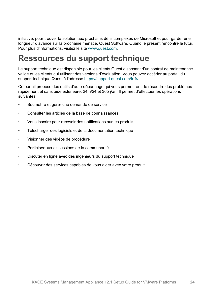initiative, pour trouver la solution aux prochains défis complexes de Microsoft et pour garder une longueur d'avance sur la prochaine menace. Quest Software. Quand le présent rencontre le futur. Pour plus d'informations, visitez le site [www.quest.com](https://www.quest.com/company/contact-us.aspx).

#### <span id="page-23-0"></span>**Ressources du support technique**

Le support technique est disponible pour les clients Quest disposant d'un contrat de maintenance valide et les clients qui utilisent des versions d'évaluation. Vous pouvez accéder au portail du support technique Quest à l'adresse [https://support.quest.com/fr-fr/.](https://support.quest.com/)

Ce portail propose des outils d'auto-dépannage qui vous permettront de résoudre des problèmes rapidement et sans aide extérieure, 24 h/24 et 365 j/an. Il permet d'effectuer les opérations suivantes :

- Soumettre et gérer une demande de service
- Consulter les articles de la base de connaissances
- Vous inscrire pour recevoir des notifications sur les produits
- Télécharger des logiciels et de la documentation technique
- Visionner des vidéos de procédure
- Participer aux discussions de la communauté
- Discuter en ligne avec des ingénieurs du support technique
- Découvrir des services capables de vous aider avec votre produit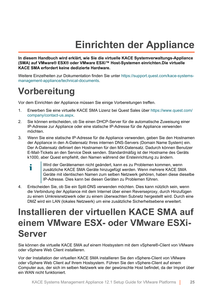## **Einrichten der Appliance**

<span id="page-24-0"></span>**In diesem Handbuch wird erklärt, wie Sie die virtuelle KACE Systemverwaltungs-Appliance (SMA) auf VMware® ESX® oder VMware ESXi™ Host-Systemen einrichten.Die virtuelle KACE SMA erfordert keine dedizierte Hardware.**

Weitere Einzelheiten zur Dokumentation finden Sie unter [https://support.quest.com/kace-systems](https://support.quest.com/kace-systems-management-appliance/technical-documents)[management-appliance/technical-documents](https://support.quest.com/kace-systems-management-appliance/technical-documents).

#### <span id="page-24-1"></span>**Vorbereitung**

Vor dem Einrichten der Appliance müssen Sie einige Vorbereitungen treffen.

- 1. Erwerben Sie eine virtuelle KACE SMA Lizenz bei Quest Sales über [https://www.quest.com/](https://www.quest.com/company/contact-us.aspx) [company/contact-us.aspx.](https://www.quest.com/company/contact-us.aspx)
- 2. Sie können entscheiden, ob Sie einen DHCP-Server für die automatische Zuweisung einer IP-Adresse zur Appliance oder eine statische IP-Adresse für die Appliance verwenden möchten.
- 3. Wenn Sie eine statische IP-Adresse für die Appliance verwenden, geben Sie den Hostnamen der Appliance in den A-Datensatz Ihres internen DNS-Servers (Domain Name System) ein. Der A-Datensatz definiert den Hostnamen für den MX-Datensatz. Dadurch können Benutzer E-Mail-Tickets an den Service Desk senden. Standardmäßig ist der Hostname des Geräts k1000, aber Quest empfiehlt, den Namen während der Ersteinrichtung zu ändern.
	- Wird der Gerätenamen nicht geändert, kann es zu Problemen kommen, wenn i zusätzliche KACE SMA Geräte hinzugefügt werden. Wenn mehrere KACE SMA Geräte mit identischen Namen zum selben Netzwerk gehören, haben diese dieselbe IP-Adresse. Dies kann bei diesen Geräten zu Problemen führen.
- 4. Entscheiden Sie, ob Sie ein Split-DNS verwenden möchten. Dies kann nützlich sein, wenn die Verbindung der Appliance mit dem Internet über einen Reverseproxy, durch Hinzufügen zu einem Umkreisnetzwerk oder zu einem überwachten Subnetz hergestellt wird. Durch eine DMZ wird ein LAN (lokales Netzwerk) um eine zusätzliche Sicherheitsebene erweitert.

#### <span id="page-24-2"></span>**Installieren der virtuellen KACE SMA auf einem VMware ESX- oder VMware ESXi-Server**

Sie können die virtuelle KACE SMA auf einem Hostsystem mit dem vSphere®-Client von VMware oder vSphere Web Client installieren.

Vor der Installation der virtuellen KACE SMA installieren Sie den vSphere-Client von VMware oder vSphere Web Client auf Ihrem Hostsystem. Führen Sie den vSphere-Client auf einem Computer aus, der sich im selben Netzwerk wie der gewünschte Host befindet, da der Import über ein WAN nicht funktioniert.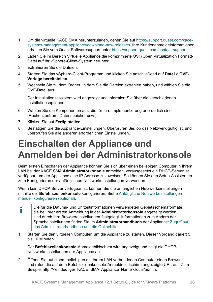- 1. Um die virtuelle KACE SMA herunterzuladen, gehen Sie auf [https://support.quest.com/kace](https://support.quest.com/kace-systems-management-appliance/download-new-releases)[systems-management-appliance/download-new-releases](https://support.quest.com/kace-systems-management-appliance/download-new-releases). Ihre Kundenanmeldeinformationen erhalten Sie vom Quest Softwaresupport unter [https://support.quest.com/contact-support.](https://support.quest.com/contact-support)
- 2. Laden Sie im Bereich Virtuelle Appliance die komprimierte OVF(Open Virtualization Format)- Datei auf Ihr vSphere-Client-System herunter.
- 3. Extrahieren Sie die Dateien.
- 4. Starten Sie das vSphere-Client-Programm und klicken Sie anschließend auf **Datei** > **OVF-Vorlage bereitstellen**.
- 5. Wechseln Sie zu dem Ordner, in dem Sie die Dateien extrahiert haben, und wählen Sie die OVF-Datei aus.

Der Installationsassistent wird angezeigt und informiert Sie über die verschiedenen Installationsoptionen.

- 6. Wählen Sie die Komponenten aus, die für Ihre Implementierung erforderlich sind (Rechenzentrum, Datenspeicher usw.).
- 7. Klicken Sie auf **Fertig stellen**.
- 8. Bestätigen Sie die Appliance-Einstellungen. Überprüfen Sie, ob das Netzwerk gültig ist, und überprüfen Sie alle anderen erforderlichen Einstellungen.

### <span id="page-25-0"></span>**Einschalten der Appliance und Anmelden bei der Administratorkonsole**

Beim ersten Einschalten der Appliance können Sie sich über einen beliebigen Computer in Ihrem LAN bei der KACE SMA **Administratorkonsole** anmelden, vorausgesetzt ein DHCP-Server ist verfügbar, um der Appliance eine IP-Adresse zuzuweisen. So können Sie den Setup-Assistenten zum Konfigurieren der anfänglichen Netzwerkeinstellungen verwenden.

Wenn kein DHCP-Server verfügbar ist, können Sie die anfänglichen Netzwerkeinstellungen mithilfe der **Befehlszeilenkonsole** konfigurieren. Siehe [Anfängliche Netzwerkeinstellungen](#page-28-0) [manuell konfigurieren \(optional\)](#page-28-0).

- Die für die Datums- und Uhrzeitinformationen verwendeten Gebietsschemaformate, т die bei Ihrer ersten Anmeldung in der **Administratorkonsole** angezeigt werden, sind durch Ihre Browsereinstellungen festgelegt. Informationen zum Ändern der Spracheinstellungen finden Sie im **Administratorhandbuch** der Appliance: [Zugriff auf](#page-33-0) [das Administratorhandbuch und die Onlinehilfe.](#page-33-0)
- 1. Starten Sie den virtuellen Computer, um die Appliance zu starten. Dieser Vorgang dauert 5 bis 10 Minuten.

Der **Befehlszeilenkonsole**-Anmeldebildschirm wird angezeigt und zeigt die DHCP-Netzwerkeinstellungen der Appliance an.

2. Öffnen Sie auf einem beliebigen mit Ihrem LAN verbundenen Computer einen Browser und rufen die auf dem Befehlszeilenkonsole-Anmeldebildschirm angezeigte URL auf. Zum Beispiel http://<eindeutiger\_KACE\_SMA\_Appliance\_Name>.local/admin.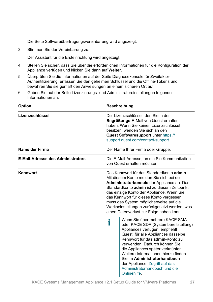Die Seite Softwareübertragungsvereinbarung wird angezeigt.

3. Stimmen Sie der Vereinbarung zu.

Der Assistent für die Ersteinrichtung wird angezeigt.

- 4. Stellen Sie sicher, dass Sie über die erforderlichen Informationen für die Konfiguration der Appliance verfügen und klicken Sie dann auf **Weiter**.
- 5. Überprüfen Sie die Informationen auf der Seite Diagnosekonsole für Zweifaktor-Authentifizierung, erfassen Sie den geheimen Schlüssel und die Offline-Tokens und bewahren Sie sie gemäß den Anweisungen an einem sicheren Ort auf.
- 6. Geben Sie auf der Seite Lizenzierungs- und Administratoreinstellungen folgende Informationen an:

| <b>Option</b>                            |   | <b>Beschreibung</b>                                                                                                                                                                                                                                                                                                                                                                                                                                                                                                                                                                                                                                                                                                                                                                                                     |  |
|------------------------------------------|---|-------------------------------------------------------------------------------------------------------------------------------------------------------------------------------------------------------------------------------------------------------------------------------------------------------------------------------------------------------------------------------------------------------------------------------------------------------------------------------------------------------------------------------------------------------------------------------------------------------------------------------------------------------------------------------------------------------------------------------------------------------------------------------------------------------------------------|--|
| Lizenzschlüssel                          |   | Der Lizenzschlüssel, den Sie in der<br>Begrüßungs-E-Mail von Quest erhalten<br>haben. Wenn Sie keinen Lizenzschlüssel<br>besitzen, wenden Sie sich an den<br>Quest Softwaresupport unter https://<br>support.quest.com/contact-support.                                                                                                                                                                                                                                                                                                                                                                                                                                                                                                                                                                                 |  |
| Name der Firma                           |   | Der Name Ihrer Firma oder Gruppe.                                                                                                                                                                                                                                                                                                                                                                                                                                                                                                                                                                                                                                                                                                                                                                                       |  |
| <b>E-Mail-Adresse des Administrators</b> |   | Die E-Mail-Adresse, an die Sie Kommunikation<br>von Quest erhalten möchten.                                                                                                                                                                                                                                                                                                                                                                                                                                                                                                                                                                                                                                                                                                                                             |  |
| Kennwort                                 | Т | Das Kennwort für das Standardkonto admin.<br>Mit diesem Konto melden Sie sich bei der<br>Administratorkonsole der Appliance an. Das<br>Standardkonto admin ist zu diesem Zeitpunkt<br>das einzige Konto der Appliance. Wenn Sie<br>das Kennwort für dieses Konto vergessen,<br>muss das System möglicherweise auf die<br>Werkseinstellungen zurückgesetzt werden, was<br>einen Datenverlust zur Folge haben kann.<br>Wenn Sie über mehrere KACE SMA<br>oder KACE SDA (Systembereitstellung)<br>Appliances verfügen, empfiehlt<br>Quest, für alle Appliances dasselbe<br>Kennwort für das admin-Konto zu<br>verwenden. Dadurch können Sie<br>die Appliances später verknüpfen.<br>Weitere Informationen hierzu finden<br>Sie im Administratorhandbuch<br>der Appliance: Zugriff auf das<br>Administratorhandbuch und die |  |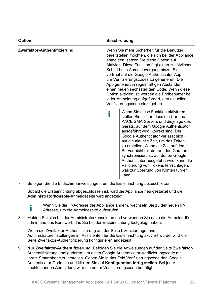| Option                       | <b>Beschreibung</b>                                                                                                                                                                                                                                                                                                                                                                                                                                                                                                                                              |
|------------------------------|------------------------------------------------------------------------------------------------------------------------------------------------------------------------------------------------------------------------------------------------------------------------------------------------------------------------------------------------------------------------------------------------------------------------------------------------------------------------------------------------------------------------------------------------------------------|
| Zweifaktor-Authentifizierung | Wenn Sie mehr Sicherheit für die Benutzer<br>bereitstellen möchten, die sich bei der Appliance<br>anmelden, setzen Sie diese Option auf<br>Aktiviert. Diese Funktion fügt einen zusätzlichen<br>Schritt beim Anmeldevorgang hinzu. Sie<br>vertraut auf die Google Authenticator-App,<br>um Verifizierungscodes zu generieren. Die<br>App generiert in regelmäßigen Abständen<br>einen neuen sechsstelligen Code. Wenn diese<br>Option aktiviert ist, werden die Endbenutzer bei<br>jeder Anmeldung aufgefordert, den aktuellen<br>Verifizierungscode einzugeben. |
|                              | Wenn Sie diese Funktion aktivieren,<br>stellen Sie sicher, dass die Uhr des<br>KACE SMA-Servers und diejenige des<br>Geräts, auf dem Google Authenticator<br>ausgeführt wird, korrekt sind. Der<br>Google Authenticator verlässt sich<br>auf die aktuelle Zeit, um das Token<br>zu erstellen. Wenn die Zeit auf dem<br>Server nicht mit der auf den Geräten<br>synchronisiert ist, auf denen Google<br>Authenticator ausgeführt wird, kann die<br>Validierung von Tokens fehlschlagen,<br>was zur Sperrung von Konten führen<br>kann.                            |

7. Befolgen Sie die Bildschirmanweisungen, um die Ersteinrichtung abzuschließen.

Sobald die Ersteinrichtung abgeschlossen ist, wird die Appliance neu gestartet und die **Administratorkonsole**-Anmeldeseite wird angezeigt.



Wenn Sie die IP-Adresse der Appliance ändern, wechseln Sie zu der neuen IP-Adresse, um die Anmeldeseite aufzurufen.

8. Melden Sie sich bei der Administratorkonsole an und verwenden Sie dazu die Anmelde-ID admin und das Kennwort, das Sie bei der Ersteinrichtung festgelegt haben.

Wenn die Zweifaktor-Authentifizierung auf der Seite Lizenzierungs- und Administratoreinstellungen im Assistenten für die Ersteinrichtung aktiviert wurde, wird die Seite Zweifaktor-Authentifizierung konfigurieren angezeigt.

9. **Nur Zweifaktor-Authentifizierung**. Befolgen Sie die Anweisungen auf der Seite Zweifaktor-Authentifizierung konfigurieren, um einen Google Authenticator-Verifizierungscode mit Ihrem Smartphone zu erstellen. Geben Sie in das Feld Verifizierungscode den Google Authenticator-Code ein und klicken Sie auf **Konfiguration fertig stellen**. Bei jeder nachfolgenden Anmeldung wird ein neuer Verifizierungscode benötigt.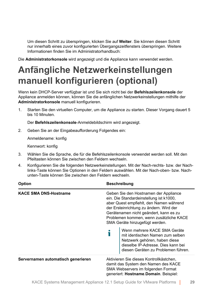Um diesen Schritt zu überspringen, klicken Sie auf **Weiter**. Sie können diesen Schritt nur innerhalb eines zuvor konfigurierten Übergangszeitfensters überspringen. Weitere Informationen finden Sie im Administratorhandbuch:

Die **Administratorkonsole** wird angezeigt und die Appliance kann verwendet werden.

## <span id="page-28-0"></span>**Anfängliche Netzwerkeinstellungen manuell konfigurieren (optional)**

Wenn kein DHCP-Server verfügbar ist und Sie sich nicht bei der **Befehlszeilenkonsole** der Appliance anmelden können, können Sie die anfänglichen Netzwerkeinstellungen mithilfe der **Administratorkonsole** manuell konfigurieren.

1. Starten Sie den virtuellen Computer, um die Appliance zu starten. Dieser Vorgang dauert 5 bis 10 Minuten.

Der **Befehlszeilenkonsole**-Anmeldebildschirm wird angezeigt.

2. Geben Sie an der Eingabeaufforderung Folgendes ein:

Anmeldename: konfig

Kennwort: konfig

- 3. Wählen Sie die Sprache, die für die Befehlszeilenkonsole verwendet werden soll. Mit den Pfeiltasten können Sie zwischen den Feldern wechseln.
- 4. Konfigurieren Sie die folgenden Netzwerkeinstellungen. Mit der Nach-rechts- bzw. der Nachlinks-Taste können Sie Optionen in den Feldern auswählen. Mit der Nach-oben- bzw. Nachunten-Taste können Sie zwischen den Feldern wechseln.

| Option                             | <b>Beschreibung</b>                                                                                                                                                                                                                                                                           |  |
|------------------------------------|-----------------------------------------------------------------------------------------------------------------------------------------------------------------------------------------------------------------------------------------------------------------------------------------------|--|
| <b>KACE SMA DNS-Hostname</b>       | Geben Sie den Hostnamen der Appliance<br>ein. Die Standardeinstellung ist k1000.<br>aber Quest empfiehlt, den Namen während<br>der Ersteinrichtung zu ändern. Wird der<br>Gerätenamen nicht geändert, kann es zu<br>Problemen kommen, wenn zusätzliche KACE<br>SMA Geräte hinzugefügt werden. |  |
|                                    | Wenn mehrere KACE SMA Geräte<br>mit identischen Namen zum selben<br>Netzwerk gehören, haben diese<br>dieselbe IP-Adresse. Dies kann bei<br>diesen Geräten zu Problemen führen.                                                                                                                |  |
| Servernamen automatisch generieren | Aktivieren Sie dieses Kontrollkästchen,<br>damit das System den Namen des KACE<br>SMA Webservers im folgenden Format<br>generiert: Hostname.Domain. Beispiel:                                                                                                                                 |  |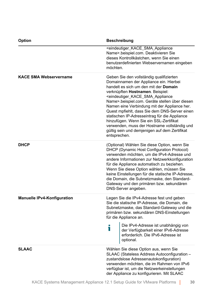| <b>Option</b>                      | <b>Beschreibung</b>                                                                                                                                                                                                                                                                                                                                                                                                                                                                                                                                                                                              |  |
|------------------------------------|------------------------------------------------------------------------------------------------------------------------------------------------------------------------------------------------------------------------------------------------------------------------------------------------------------------------------------------------------------------------------------------------------------------------------------------------------------------------------------------------------------------------------------------------------------------------------------------------------------------|--|
|                                    | <eindeutiger_kace_sma_appliance<br>Name&gt;.beispiel.com. Deaktivieren Sie<br/>dieses Kontrollkästchen, wenn Sie einen<br/>benutzerdefinierten Webservernamen eingeben<br/>möchten.</eindeutiger_kace_sma_appliance<br>                                                                                                                                                                                                                                                                                                                                                                                          |  |
| <b>KACE SMA Webservername</b>      | Geben Sie den vollständig qualifizierten<br>Domainnamen der Appliance ein. Hierbei<br>handelt es sich um den mit der Domain<br>verknüpften Hostnamen. Beispiel:<br><eindeutiger_kace_sma_appliance<br>Name&gt;.beispiel.com. Geräte stellen über diesen<br/>Namen eine Verbindung mit der Appliance her.<br/>Quest mpfiehlt, dass Sie dem DNS-Server einen<br/>statischen IP-Adresseintrag für die Appliance<br/>hinzufügen. Wenn Sie ein SSL-Zertifikat<br/>verwenden, muss der Hostname vollständig und<br/>gültig sein und demjenigen auf dem Zertifikat<br/>entsprechen.</eindeutiger_kace_sma_appliance<br> |  |
| <b>DHCP</b>                        | (Optional) Wählen Sie diese Option, wenn Sie<br>DHCP (Dynamic Host Configuration Protocol)<br>verwenden möchten, um die IPv4-Adresse und<br>andere Informationen zur Netzwerkkonfiguration<br>für die Appliance automatisch zu beziehen.<br>Wenn Sie diese Option wählen, müssen Sie<br>keine Einstellungen für die statische IP-Adresse,<br>die Domain, die Subnetzmaske, den Standard-<br>Gateway und den primären bzw. sekundären<br>DNS-Server angeben.                                                                                                                                                      |  |
| <b>Manuelle IPv4-Konfiguration</b> | Legen Sie die IPv4-Adresse fest und geben<br>Sie die statische IP-Adresse, die Domain, die<br>Subnetzmaske, das Standard-Gateway und die<br>primären bzw. sekundären DNS-Einstellungen<br>für die Appliance an.<br>Die IPv4-Adresse ist unabhängig von                                                                                                                                                                                                                                                                                                                                                           |  |
|                                    | ĩ<br>der Verfügbarkeit einer IPv6-Adresse<br>erforderlich. Die IPv6-Adresse ist<br>optional.                                                                                                                                                                                                                                                                                                                                                                                                                                                                                                                     |  |
| <b>SLAAC</b>                       | Wählen Sie diese Option aus, wenn Sie<br>SLAAC (Stateless Address Autoconfiguration -<br>zustandslose Adressenautokonfiguration)<br>verwenden möchten, die im Rahmen von IPv6<br>verfügbar ist, um die Netzwerkeinstellungen<br>der Appliance zu konfigurieren. Mit SLAAC                                                                                                                                                                                                                                                                                                                                        |  |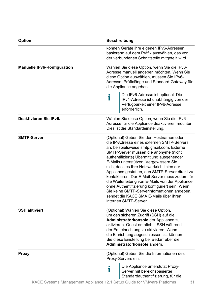| <b>Option</b>                      | <b>Beschreibung</b>                                                                                                                                                                                                                                                                                                                                                                                                                                                                                                                                                                                                                           |  |
|------------------------------------|-----------------------------------------------------------------------------------------------------------------------------------------------------------------------------------------------------------------------------------------------------------------------------------------------------------------------------------------------------------------------------------------------------------------------------------------------------------------------------------------------------------------------------------------------------------------------------------------------------------------------------------------------|--|
|                                    | können Geräte ihre eigenen IPv6-Adressen<br>basierend auf dem Präfix auswählen, das von<br>der verbundenen Schnittstelle mitgeteilt wird.                                                                                                                                                                                                                                                                                                                                                                                                                                                                                                     |  |
| <b>Manuelle IPv6-Konfiguration</b> | Wählen Sie diese Option, wenn Sie die IPv6-<br>Adresse manuell angeben möchten. Wenn Sie<br>diese Option auswählen, müssen Sie IPv6-<br>Adresse, Präfixlänge und Standard-Gateway für<br>die Appliance angeben.                                                                                                                                                                                                                                                                                                                                                                                                                               |  |
|                                    | Die IPv6-Adresse ist optional. Die<br>i<br>IPv4-Adresse ist unabhängig von der<br>Verfügbarkeit einer IPv6-Adresse<br>erforderlich.                                                                                                                                                                                                                                                                                                                                                                                                                                                                                                           |  |
| Deaktivieren Sie IPv6.             | Wählen Sie diese Option, wenn Sie die IPv6-<br>Adresse für die Appliance deaktivieren möchten.<br>Dies ist die Standardeinstellung.                                                                                                                                                                                                                                                                                                                                                                                                                                                                                                           |  |
| <b>SMTP-Server</b>                 | (Optional) Geben Sie den Hostnamen oder<br>die IP-Adresse eines externen SMTP-Servers<br>an, beispielsweise smtp.gmail.com. Externe<br>SMTP-Server müssen die anonyme (nicht<br>authentifizierte) Übermittlung ausgehender<br>E-Mails unterstützen. Vergewissern Sie<br>sich, dass es Ihre Netzwerkrichtlinien der<br>Appliance gestatten, den SMTP-Server direkt zu<br>kontaktieren. Der E-Mail-Server muss zudem für<br>die Weiterleitung von E-Mails von der Appliance<br>ohne Authentifizierung konfiguriert sein. Wenn<br>Sie keine SMTP-Serverinformationen angeben,<br>sendet die KACE SMA E-Mails über ihren<br>internen SMTP-Server. |  |
| <b>SSH aktiviert</b>               | (Optional) Wählen Sie diese Option,<br>um den sicheren Zugriff (SSH) auf die<br>Administratorkonsole der Appliance zu<br>aktivieren. Quest empfiehlt, SSH während<br>der Ersteinrichtung zu aktivieren. Wenn<br>die Einrichtung abgeschlossen ist, können<br>Sie diese Einstellung bei Bedarf über die<br>Administratorkonsole ändern.                                                                                                                                                                                                                                                                                                        |  |
| Proxy                              | (Optional) Geben Sie die Informationen des<br>Proxy-Servers ein.                                                                                                                                                                                                                                                                                                                                                                                                                                                                                                                                                                              |  |
|                                    | Die Appliance unterstützt Proxy-<br>T<br>Server mit bereichsbasierter<br>Standardauthentifizierung, für die                                                                                                                                                                                                                                                                                                                                                                                                                                                                                                                                   |  |

KACE Systems Management Appliance 12.1 Setup Guide for VMware Platforms **31**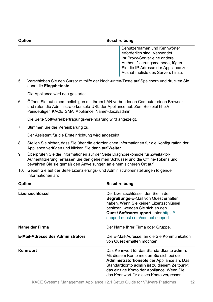#### **Option Beschreibung**

Benutzernamen und Kennwörter erforderlich sind. Verwendet Ihr Proxy-Server eine andere Authentifizierungsmethode, fügen Sie die IP-Adresse der Appliance zur Ausnahmeliste des Servers hinzu.

5. Verschieben Sie den Cursor mithilfe der Nach-unten-Taste auf Speichern und drücken Sie dann die **Eingabetaste**.

Die Appliance wird neu gestartet.

6. Öffnen Sie auf einem beliebigen mit Ihrem LAN verbundenen Computer einen Browser und rufen die Administratorkonsole-URL der Appliance auf. Zum Beispiel http:// <eindeutiger\_KACE\_SMA\_Appliance\_Name>.local/admin.

Die Seite Softwareübertragungsvereinbarung wird angezeigt.

7. Stimmen Sie der Vereinbarung zu.

Der Assistent für die Ersteinrichtung wird angezeigt.

- 8. Stellen Sie sicher, dass Sie über die erforderlichen Informationen für die Konfiguration der Appliance verfügen und klicken Sie dann auf **Weiter**.
- 9. Überprüfen Sie die Informationen auf der Seite Diagnosekonsole für Zweifaktor-Authentifizierung, erfassen Sie den geheimen Schlüssel und die Offline-Tokens und bewahren Sie sie gemäß den Anweisungen an einem sicheren Ort auf.
- 10. Geben Sie auf der Seite Lizenzierungs- und Administratoreinstellungen folgende Informationen an:

| <b>Option</b>                            | <b>Beschreibung</b>                                                                                                                                                                                                                                                         |  |  |
|------------------------------------------|-----------------------------------------------------------------------------------------------------------------------------------------------------------------------------------------------------------------------------------------------------------------------------|--|--|
| Lizenzschlüssel                          | Der Lizenzschlüssel, den Sie in der<br>Begrüßungs-E-Mail von Quest erhalten<br>haben. Wenn Sie keinen Lizenzschlüssel<br>besitzen, wenden Sie sich an den<br>Quest Softwaresupport unter https://<br>support.quest.com/contact-support.                                     |  |  |
| Name der Firma                           | Der Name Ihrer Firma oder Gruppe.                                                                                                                                                                                                                                           |  |  |
| <b>E-Mail-Adresse des Administrators</b> | Die E-Mail-Adresse, an die Sie Kommunikation<br>von Quest erhalten möchten.                                                                                                                                                                                                 |  |  |
| Kennwort                                 | Das Kennwort für das Standardkonto admin.<br>Mit diesem Konto melden Sie sich bei der<br>Administratorkonsole der Appliance an. Das<br>Standardkonto admin ist zu diesem Zeitpunkt<br>das einzige Konto der Appliance. Wenn Sie<br>das Kennwort für dieses Konto vergessen, |  |  |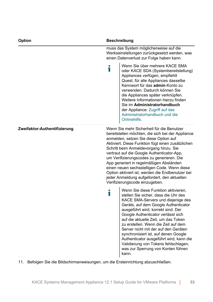| Option                       | <b>Beschreibung</b>                                                                                                                                                                                                                                                                                                                                                                                                                                                                                                                                              |  |
|------------------------------|------------------------------------------------------------------------------------------------------------------------------------------------------------------------------------------------------------------------------------------------------------------------------------------------------------------------------------------------------------------------------------------------------------------------------------------------------------------------------------------------------------------------------------------------------------------|--|
|                              | muss das System möglicherweise auf die<br>Werkseinstellungen zurückgesetzt werden, was<br>einen Datenverlust zur Folge haben kann.                                                                                                                                                                                                                                                                                                                                                                                                                               |  |
|                              | Wenn Sie über mehrere KACE SMA<br>i<br>oder KACE SDA (Systembereitstellung)<br>Appliances verfügen, empfiehlt<br>Quest, für alle Appliances dasselbe<br>Kennwort für das admin-Konto zu<br>verwenden. Dadurch können Sie<br>die Appliances später verknüpfen.<br>Weitere Informationen hierzu finden<br>Sie im Administratorhandbuch<br>der Appliance: Zugriff auf das<br>Administratorhandbuch und die<br>Onlinehilfe.                                                                                                                                          |  |
| Zweifaktor-Authentifizierung | Wenn Sie mehr Sicherheit für die Benutzer<br>bereitstellen möchten, die sich bei der Appliance<br>anmelden, setzen Sie diese Option auf<br>Aktiviert. Diese Funktion fügt einen zusätzlichen<br>Schritt beim Anmeldevorgang hinzu. Sie<br>vertraut auf die Google Authenticator-App,<br>um Verifizierungscodes zu generieren. Die<br>App generiert in regelmäßigen Abständen<br>einen neuen sechsstelligen Code. Wenn diese<br>Option aktiviert ist, werden die Endbenutzer bei<br>jeder Anmeldung aufgefordert, den aktuellen<br>Verifizierungscode einzugeben. |  |
|                              | Wenn Sie diese Funktion aktivieren,<br>i<br>stellen Sie sicher, dass die Uhr des<br>KACE SMA-Servers und diejenige des<br>Geräts, auf dem Google Authenticator<br>ausgeführt wird, korrekt sind. Der<br>Google Authenticator verlässt sich<br>auf die aktuelle Zeit, um das Token<br>zu erstellen. Wenn die Zeit auf dem<br>Server nicht mit der auf den Geräten<br>synchronisiert ist, auf denen Google<br>Authenticator ausgeführt wird, kann die<br>Validierung von Tokens fehlschlagen,<br>was zur Sperrung von Konten führen<br>kann.                       |  |

11. Befolgen Sie die Bildschirmanweisungen, um die Ersteinrichtung abzuschließen.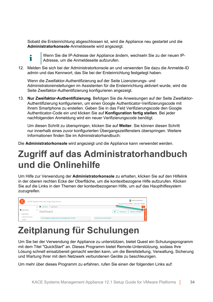Sobald die Ersteinrichtung abgeschlossen ist, wird die Appliance neu gestartet und die **Administratorkonsole**-Anmeldeseite wird angezeigt.



Wenn Sie die IP-Adresse der Appliance ändern, wechseln Sie zu der neuen IP-Adresse, um die Anmeldeseite aufzurufen.

12. Melden Sie sich bei der Administratorkonsole an und verwenden Sie dazu die Anmelde-ID admin und das Kennwort, das Sie bei der Ersteinrichtung festgelegt haben.

Wenn die Zweifaktor-Authentifizierung auf der Seite Lizenzierungs- und Administratoreinstellungen im Assistenten für die Ersteinrichtung aktiviert wurde, wird die Seite Zweifaktor-Authentifizierung konfigurieren angezeigt.

13. **Nur Zweifaktor-Authentifizierung**. Befolgen Sie die Anweisungen auf der Seite Zweifaktor-Authentifizierung konfigurieren, um einen Google Authenticator-Verifizierungscode mit Ihrem Smartphone zu erstellen. Geben Sie in das Feld Verifizierungscode den Google Authenticator-Code ein und klicken Sie auf **Konfiguration fertig stellen**. Bei jeder nachfolgenden Anmeldung wird ein neuer Verifizierungscode benötigt.

Um diesen Schritt zu überspringen, klicken Sie auf **Weiter**. Sie können diesen Schritt nur innerhalb eines zuvor konfigurierten Übergangszeitfensters überspringen. Weitere Informationen finden Sie im Administratorhandbuch:

Die **Administratorkonsole** wird angezeigt und die Appliance kann verwendet werden.

#### <span id="page-33-0"></span>**Zugriff auf das Administratorhandbuch und die Onlinehilfe**

Um Hilfe zur Verwendung der **Administratorkonsole** zu erhalten, klicken Sie auf den Hilfelink in der oberen rechten Ecke der Oberfläche, um die kontextbezogene Hilfe aufzurufen. Klicken Sie auf die Links in den Themen der kontextbezogenen Hilfe, um auf das Haupthilfesystem zuzugreifen.

| $\bigcap$<br>KACE Systemverwaltungs-Appliance |  |                                                  | admin (Standard) v<br>Sitzungs-Timeout: 00:59:51 + 28.07.2017 16:56:54 |
|-----------------------------------------------|--|--------------------------------------------------|------------------------------------------------------------------------|
|                                               |  | < <sup>2</sup> Startseite > Dashboard            |                                                                        |
| h Startseite<br>Dashboard<br>Dashboard        |  |                                                  | $\mathbf{C}^{\prime}$<br>Details anzeigen<br>Anpassen                  |
| Label-Verwaltung<br>Suchen                    |  | Am häufigsten aufgerufene Knowledge Base-Artikel | Letzte Nachrichtenartikel                                              |

#### <span id="page-33-1"></span>**Zeitplanung für Schulungen**

Um Sie bei der Verwendung der Appliance zu unterstützen, bietet Quest ein Schulungsprogramm mit dem Titel "QuickStart" an. Dieses Programm bietet Remote-Unterstützung, sodass Ihre Lösung schnell einsatzbereit gemacht werden kann, um die Bereitstellung, Verwaltung, Sicherung und Wartung Ihrer mit dem Netzwerk verbundenen Geräte zu beschleunigen.

Um mehr über dieses Programm zu erfahren, rufen Sie einen der folgenden Links auf: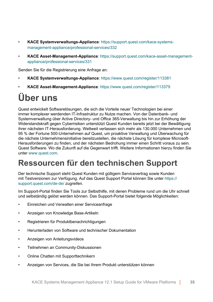- **KACE Systemverwaltungs-Appliance**: [https://support.quest.com/kace-systems](https://support.quest.com/kace-systems-management-appliance/professional-services/332)[management-appliance/professional-services/332](https://support.quest.com/kace-systems-management-appliance/professional-services/332)
- **KACE Asset-Management-Appliance**: [https://support.quest.com/kace-asset-management](https://support.quest.com/kace-asset-management-appliance/professional-services/331)[appliance/professional-services/331](https://support.quest.com/kace-asset-management-appliance/professional-services/331)

Senden Sie für die Registrierung eine Anfrage an:

- **KACE Systemverwaltungs-Appliance**:<https://www.quest.com/register/113381>
- **KACE Asset-Management-Appliance**:<https://www.quest.com/register/113379>

### <span id="page-34-0"></span>**Über uns**

Quest entwickelt Softwarelösungen, die sich die Vorteile neuer Technologien bei einer immer komplexer werdenden IT-Infrastruktur zu Nutze machen. Von der Datenbank- und Systemverwaltung über Active Directory- und Office 365-Verwaltung bis hin zur Erhöhung der Widerstandskraft gegen Cyberrisiken unterstützt Quest Kunden bereits jetzt bei der Bewältigung ihrer nächsten IT-Herausforderung. Weltweit verlassen sich mehr als 130.000 Unternehmen und 95 % der Fortune 500-Unternehmen auf Quest, um proaktive Verwaltung und Überwachung für die nächste Unternehmensinitiative bereitzustellen, die nächste Lösung für komplexe Microsoft-Herausforderungen zu finden, und der nächsten Bedrohung immer einen Schritt voraus zu sein. Quest Software. Wo die Zukunft auf die Gegenwart trifft. Weitere Informationen hierzu finden Sie unter [www.quest.com.](https://www.quest.com/company/contact-us.aspx)

#### <span id="page-34-1"></span>**Ressourcen für den technischen Support**

Der technische Support steht Quest Kunden mit gültigem Servicevertrag sowie Kunden mit Testversionen zur Verfügung. Auf das Quest Support Portal können Sie unter [https://](https://support.quest.com/) [support.quest.com/de-de/](https://support.quest.com/) zugreifen.

Im Support-Portal finden Sie Tools zur Selbsthilfe, mit denen Probleme rund um die Uhr schnell und selbständig gelöst werden können. Das Support-Portal bietet folgende Möglichkeiten:

- Einreichen und Verwalten einer Serviceanfrage
- Anzeigen von Knowledge Base-Artikeln
- Registrieren für Produktbenachrichtigungen
- Herunterladen von Software und technischer Dokumentation
- Anzeigen von Anleitungsvideos
- Teilnehmen an Community-Diskussionen
- Online Chatten mit Supporttechnikern
- Anzeigen von Services, die Sie bei Ihrem Produkt unterstützen können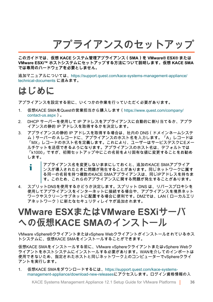**アプライアンスのセットアップ**

<span id="page-35-0"></span>**このガイドでは、仮想 KACE システム管理アプライアンス(SMA)を VMware® ESX® または VMware ESXi™ ホストシステムにセットアップする方法について説明します。仮想 KACE SMA では専用のハードウェアを必要としません。**

追加マニュアルについては、[https://support.quest.com/kace-systems-management-appliance/](https://support.quest.com/kace-systems-management-appliance/technical-documents) [technical-documents](https://support.quest.com/kace-systems-management-appliance/technical-documents) に進みます。

#### <span id="page-35-1"></span>**はじめに**

アプライアンスを設定する前に、いくつかの作業を行っていただく必要があります。

- 1. 仮想KACE SMAをQuestの営業担当から購入します([https://www.quest.com/company/](https://www.quest.com/company/contact-us.aspx) [contact-us.aspx](https://www.quest.com/company/contact-us.aspx))。
- 2. DHCP サーバーを使用して IP アドレスをアプライアンスに自動的に割り当てるか、アプラ イアンスの静的 IP アドレスを取得するかを決定します。
- 3. アプライアンスの静的 IP アドレスを取得する場合は、社内の DNS(ドメインネームシステ ム)サーバーの A レコードに、アプライアンスのホスト名を入力します。「A」レコードは 「MX」レコードのホスト名を定義します。これにより、ユーザーはサービスデスクにEメー ルチケットを送信できるようになります。アプライアンスのホスト名は、デフォルトでは 「k1000」ですが、初期セットアップ中にこの名前をより固有な値に変更することをお勧め します。
	- アプライアンス名を変更しないままにしておくと、追加のKACE SMAアプライア Ť ンスが導入されたときに問題が発生することがあります。同じネットワークに属す る同一の名前を持つ複数のKACE SMAアプライアンスは、同じIPアドレスを持ちま す。このため、これらのアプライアンスに関する問題が発生することがあります。
- 4. スプリットDNSを使用するかどうか決定します。スプリット DNS は、リバースプロキシを 使用してアプライアンスをインターネットに接続する場合や、アプライアンスを境界ネット ワークやスクリーンサブネットに配置する場合に便利です。DMZでは、LAN(ローカルエリ アネットワーク)に新たなセキュリティレイヤが追加されます。

#### <span id="page-35-2"></span>**VMware ESXまたはVMware ESXiサーバ への仮想KACE SMAのインストール**

VMware vSphere®クライアントまたはvSphere Webクライアントがインストールされているホス トシステムに、仮想KACE SMAをインストールすることができます。

仮想KACE SMAをインストールする前に、VMware vSphereクライアントまたはvSphere Webク ライアントをホストシステムにインストールする必要があります。WANを介してのインポートは 使用できないため、指定されたホストと同じネットワーク上のコンピューターでvSphereクライ アントを実行します。

1. 仮想KACE SMAをダウンロードするには[、https://support.quest.com/kace-systems](https://support.quest.com/kace-systems-management-appliance/download-new-releases)[management-appliance/download-new-releases](https://support.quest.com/kace-systems-management-appliance/download-new-releases)にアクセスします。ログイン資格情報の入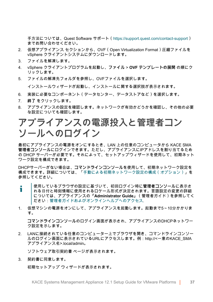手方法については、Quest Software サポート[\(https://support.quest.com/contact-support](https://support.quest.com/contact-support)) までお問い合わせください。

- 2. 仮想アプライアンス セクションから、OVF(Open Virtualization Format)圧縮ファイルを vSphere クライアントシステムにダウンロードします。
- 3. ファイルを解凍します。
- 4. vSphere クライアントプログラムを起動し、**ファイル** > **OVF テンプレートの展開** の順にク リックします。
- 5. ファイルの解凍先フォルダを参照し、OVFファイルを選択します。

インストールウィザードが起動し、インストールに関する選択肢が表示されます。

- 6. 実装に必要なコンポーネント(データセンター、データストアなど)を選択します。
- 7. **終了** をクリックします。
- 8. アプライアンスの設定を確認します。ネットワークが有効かどうかを確認し、その他の必要 な設定についても確認します。

#### <span id="page-36-0"></span>**アプライアンスの電源投入と管理者コン ソールへのログイン**

最初にアプライアンスの電源をオンにするとき、LAN 上の任意のコンピュータから KACE SMA **管理者コンソール**にログインできます。ただし、アプライアンスにIPアドレスを割り当てるため の DHCP サーバーが必要です。それによって、セットアップウィザードを使用して、初期ネット ワーク設定を構成できます。

DHCPサーバーがない場合は、**コマンドラインコンソール**を使用して、初期ネットワーク設定を 構成できます。詳細については、「[手動による初期ネットワーク設定の構成\(オプション\)](#page-38-0)」を 参照してください。

- 使用しているブラウザの設定に基づいて、初回ログイン時に**管理者コンソール**に表示さ Ť れる日付と時刻情報に使用されるロケール形式が決定されます。言語設定の変更の詳細 については、アプライアンスの『**Administrator Guide**』(管理者ガイド)を参照してく ださい:[管理者ガイドおよびオンラインヘルプへのアクセス](#page-43-0).
- 1. 仮想マシンの電源をオンにして、アプライアンスを起動します。起動まで5~10分かかりま す。

**コマンドラインコンソール**のログイン画面が表示され、アプライアンスのDHCPネットワー ク設定を示します。

2. LANに接続されている任意のコンピューター上でブラウザを開き、コマンドラインコンソー ルのログイン画面に表示されているURLにアクセスします。例:http://<一意のKACE\_SMA アプライアンス名>.local/admin。

ソフトウェア取引契約書 ページが表示されます。

3. 契約書に同意します。

初期セットアップ ウィザードが表示されます。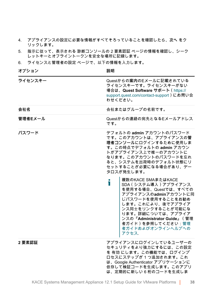- 4. アプライアンスの設定に必要な情報がすべてそろっていることを確認したら、**次へ** をク リックします。
- 5. 指示に従って、表示される 診断コンソールの 2 要素認証 ページの情報を確認し、シーク レットキーとオフライントークンを安全な場所に記録します。
- 6. ライセンスと管理者の設定 ページで、以下の情報を入力します。

**オプション 説明**

| ライセンスキー | Questからの案内のEメールに記載されている<br>ライセンスキーです。ライセンスキーがない<br>場合は、Quest Software サポート (https://<br>support.quest.com/contact-support)にお問い合<br>わせください。                                                                                                                                                                                                                                                                                                                                                        |
|---------|---------------------------------------------------------------------------------------------------------------------------------------------------------------------------------------------------------------------------------------------------------------------------------------------------------------------------------------------------------------------------------------------------------------------------------------------------------------------------------------------------|
| 会社名     | 会社またはグループの名前です。                                                                                                                                                                                                                                                                                                                                                                                                                                                                                   |
| 管理者Eメール | Questからの連絡の宛先となるEメールアドレス<br>です。                                                                                                                                                                                                                                                                                                                                                                                                                                                                   |
| パスワード   | デフォルトの admin アカウントのパスワード<br>です。このアカウントは、アプライアンスの管<br>理者コンソールにログインするために使用しま<br>す。この時点でデフォルトの admin アカウン<br>トがアプライアンス上で唯一のアカウントに<br>なります。このアカウントのパスワードを忘れ<br>ると、システムを出荷時のデフォルト状態にリ<br>セットすることが必要になる場合があり、デー<br>タロスが発生します。<br>複数のKACE SMAまたはKACE<br>П<br>SDA (システム導入) アプライアンス<br>を使用する場合、Questでは、すべての<br>アプライアンスのadminアカウントに同<br>じパスワードを使用することをお勧め<br>します。これにより、後でアプライア<br>ンス同士をリンクすることが可能にな<br>ります。詳細については、アプライア<br>ンスの『Administrator Guide』 (管理<br>者ガイド)を参照してください:管理<br>者ガイドおよびオンラインへルプへの<br>アクセス. |
| 2要素認証   | アプライアンスにログインしているユーザーの<br>セキュリティをより強力にするには、この設定<br>を 有効 にします。この機能では、ログインプ<br>ロセスにステップが1つ追加されます。これ<br>は、Google Authenticator アプリケーションに<br>依存して検証コードを生成します。このアプリ                                                                                                                                                                                                                                                                                                                                     |

は、定期的に新しい 6 桁のコードを生成しま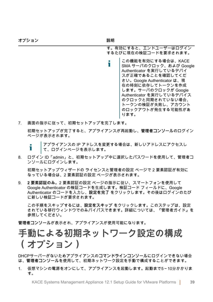す。有効にすると、エンドユーザーはログイン するたびに現在の検証コードを要求されます。

この機能を有効にする場合は、KACE i SMA サーバのクロック、および Google Authenticator を実行しているデバイ スが正確であることを確認してくだ さい。Google Authenticator は、現 在の時刻に依存してトークンを作成 します。サーバのクロックが Google Authenticator を実行しているデバイス のクロックと同期されていない場合、 トークンの検証が失敗し、アカウント のロックアウトが発生する可能性があ ります。

7. 画面の指示に従って、初期セットアップを完了します。

初期セットアップが完了すると、アプライアンスが再起動し、**管理者コンソール**のログイン ページが表示されます。

アプライアンスの IP アドレスを変更する場合は、新しいアドレスにアクセスし Т て、ログインページを表示します。

8. ログイン ID「admin」と、初期セットアップ中に選択したパスワードを使用して、管理者コ ンソールにログインします。

初期セットアップウィザードの ライセンスと管理者の設定 ページで 2 要素認証が有効に なっている場合は、2 要素認証の設定 ページが表示されます。

9. **2 要素認証のみ**。2 要素認証の設定 ページの指示に従い、スマートフォンを使用して Google Authenticator の検証コードを生成します。検証コード フィールドに、Google Authenticator のコードを入力し、**設定を完了** をクリックします。その後はログインのたび に新しい検証コードが要求されます。

この手順をスキップするには、**設定をスキップ** をクリックします。このステップは、設定 されている移行ウィンドウでのみバイパスできます。詳細については、『管理者ガイド』を 参照してください。

**管理者コンソール**が表示され、アプライアンスが使用可能になります。

### <span id="page-38-0"></span>**手動による初期ネットワーク設定の構成 (オプション)**

DHCPサーバーがないためアプライアンスの**コマンドラインコンソール**にログインできない場合 は、**管理者コンソール**を使用して、初期ネットワーク設定を手動で構成することができます。

1. 仮想マシンの電源をオンにして、アプライアンスを起動します。起動まで5~10分かかりま す。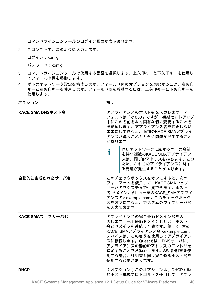**コマンドラインコンソール**のログイン画面が表示されます。

2. プロンプトで、次のように入力します。

ログイン:konfig

パスワード:konfig

- 3. コマンドラインコンソールで使用する言語を選択します。上矢印キーと下矢印キーを使用し てフィールド間を移動します。
- 4. 以下のネットワーク設定を構成します。フィールド内のオプションを選択するには、右矢印 キーと左矢印キーを使用します。フィールド間を移動するには、上矢印キーと下矢印キーを 使用します。

**オプション 説明**

| KACE SMA DNSホスト名 | アプライアンスのホスト名を入力します。デ<br>フォルトは「k1000」ですが、初期セットアップ<br>中にこの名前をより固有な値に変更することを<br>お勧めします。アプライアンス名を変更しない<br>ままにしておくと、追加のKACE SMAアプライ<br>アンスが導入されたときに問題が発生すること<br>があります。                                                                                        |
|------------------|----------------------------------------------------------------------------------------------------------------------------------------------------------------------------------------------------------------------------------------------------------|
|                  | 同じネットワークに属する同一の名前<br>i<br>を持つ複数のKACE SMAアプライアン<br>スは、同じIPアドレスを持ちます。この<br>ため、これらのアプライアンスに関す<br>る問題が発生することがあります。                                                                                                                                           |
| 自動的に生成されたサーバ名    | このチェックボックスをオンにすると、次の<br>フォーマットを使用して、KACE SMAウェブ<br>サーバ名をシステムで生成できます。ホスト<br>名. ドメイン。例:<一意のKACE_SMAアプライ<br>アンス名>.example.com。このチェックボック<br>スをオフにすると、カスタムのウェブサーバ名<br>を入力できます。                                                                                |
| KACE SMAウェブサーバ名  | アプライアンスの完全修飾ドメイン名を入<br>力します。完全修飾ドメイン名とは、ホスト<br>名とドメインを連結した値です。例:<一意の<br>KACE SMAアプライアンス名>.example.com。<br>デバイスは、この名前を使用してアプライアン<br>スに接続します。Questでは、DNSサーバに、<br>アプライアンスの静的IPアドレスのエントリを<br>追加することをお勧めします。SSL証明書を使<br>用する場合、証明書と同じ完全修飾ホスト名を<br>使用する必要があります。 |
| <b>DHCP</b>      | (オプション)このオプションは、DHCP (動<br>的ホスト構成プロトコル)を使用して、アプラ                                                                                                                                                                                                         |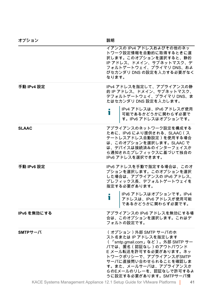| オプション        | 説明                                                                                                                                                                                                                                                                |
|--------------|-------------------------------------------------------------------------------------------------------------------------------------------------------------------------------------------------------------------------------------------------------------------|
|              | イアンスの IPv4 アドレスおよびその他のネッ<br>トワーク設定情報を自動的に取得するときに選<br>択します。このオプションを選択すると、静的<br>IP アドレス、ドメイン、サブネットマスク、デ<br>フォルトゲートウェイ、プライマリ DNS、およ<br>びセカンダリ DNS の設定を入力する必要がなく<br>なります。                                                                                             |
| 手動 IPv4 設定   | IPv4 アドレスを指定して、アプライアンスの静<br>的 IP アドレス、ドメイン、サブネットマスク、<br>デフォルトゲートウェイ、プライマリ DNS、ま<br>たはセカンダリ DNS 設定を入力します。<br>IPv4 アドレスは、IPv6 アドレスが使用<br>ĩ<br>可能であるかどうかに関わらず必要で<br>す。IPv6 アドレスはオプションです。                                                                             |
| <b>SLAAC</b> | アプライアンスのネットワーク設定を構成する<br>ために、IPv6 により提供される、SLAAC ( ス<br>テートレスアドレス自動設定)を使用する場合<br>は、このオプションを選択します。SLAAC で<br>は、デバイスは接続済みのインターフェイスか<br>ら通知されたプレフィックスに基づいて独自の<br>IPv6 アドレスを選択できます。                                                                                   |
| 手動 IPv6 設定   | IPv6 アドレスを手動で指定する場合は、このオ<br>プションを選択します。このオプションを選択<br>した場合は、アプライアンスの IPv6 アドレス、<br>プレフィックス長、デフォルトゲートウェイを<br>指定する必要があります。<br>IPv6 アドレスはオプションです。IPv4<br>Т<br>アドレスは、IPv6 アドレスが使用可能<br>.<br>であるかどうかに関わらず必要です。                                                          |
| IPv6 を無効にする  | アプライアンスの IPv6 アドレスを無効にする場<br>合は、このオプションを選択します。これはデ<br>フォルトの設定です。                                                                                                                                                                                                  |
| $SMTP H - N$ | (オプション)外部 SMTP サーバのホ<br>スト名または IP アドレスを指定します<br>(「smtp.gmail.com」など)。外部 SMTP サー<br>バでは、匿名(認証なし)のアウトバウンド<br>E メール転送を許可する必要があります。ネッ<br>トワークポリシーで、アプライアンスがSMTP<br>サーバに直接問い合わせられることを確認しま<br>す。また、メールサーバは、アプライアンスか<br>らのEメールのリレーを、認証なしで許可するよ<br>うに設定する必要があります。SMTPサーバ情 |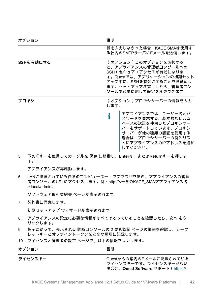| 説明                                                                                                                                                                                            |
|-----------------------------------------------------------------------------------------------------------------------------------------------------------------------------------------------|
| 報を入力しなかった場合、KACE SMAは使用す<br>る社内のSMTPサーバにEメールを送信します。                                                                                                                                           |
| (オプション)このオプションを選択する<br>と、アプライアンスの管理者コンソールへの<br>SSH (セキュア)アクセスが有効になりま<br>す。Questでは、アプリケーションの初期セット<br>アップ中に、SSHを有効にすることをお勧めし<br>ます。セットアップが完了したら、管理者コン<br>ソールで必要に応じて設定を変更できます。                   |
| (オプション)プロキシサーバーの情報を入力<br>します。<br>アプライアンスでは、ユーザー名とパ<br>スワードを要求する、基本的なレルム<br>ベースの認証を使用したプロキシサー<br>バーをサポートしています。プロキシ<br>サーバーが他の種類の認証を使用する<br>場合は、プロキシサーバーの例外リス<br>トにアプライアンスのIPアドレスを追加<br>してください。 |
|                                                                                                                                                                                               |

5. 下矢印キーを使用してカーソルを 保存 に移動し、**Enter**キーまたは**Return**キーを押しま す。

アプライアンスが再起動します。

6. LANに接続されている任意のコンピューター上でブラウザを開き、アプライアンスの管理 者コンソールのURLにアクセスします。例:http://<一意のKACE\_SMAアプライアンス名 >.local/admin。

ソフトウェア取引契約書 ページが表示されます。

7. 契約書に同意します。

初期セットアップ ウィザードが表示されます。

- 8. アプライアンスの設定に必要な情報がすべてそろっていることを確認したら、**次へ** をク リックします。
- 9. 指示に従って、表示される 診断コンソールの 2 要素認証 ページの情報を確認し、シーク レットキーとオフライントークンを安全な場所に記録します。
- 10. ライセンスと管理者の設定 ページで、以下の情報を入力します。

**オプション 説明**

**ライセンスキー** Questからの**案内**のEメールに記載されている ライセンスキーです。ライセンスキーがない 場合は、**Quest Software サポート**([https://](https://support.quest.com/contact-support)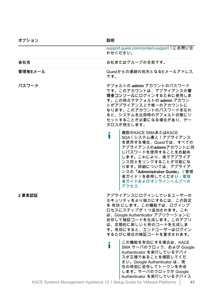| オフション   | 說明                                                                                                                                                                                                                                                                     |
|---------|------------------------------------------------------------------------------------------------------------------------------------------------------------------------------------------------------------------------------------------------------------------------|
|         | support.quest.com/contact-support)にお問い合<br>わせください。                                                                                                                                                                                                                     |
| 会社名     | 会社またはグループの名前です。                                                                                                                                                                                                                                                        |
| 管理者Eメール | Questからの連絡の宛先となるEメールアドレス<br>です。                                                                                                                                                                                                                                        |
| パスワード   | デフォルトの admin アカウントのパスワード<br>です。このアカウントは、アプライアンスの管<br>理者コンソールにログインするために使用しま<br>す。この時点でデフォルトの admin アカウン<br>トがアプライアンス上で唯一のアカウントに<br>なります。このアカウントのパスワードを忘れ<br>ると、システムを出荷時のデフォルト状態にリ<br>セットすることが必要になる場合があり、デー<br>タロスが発生します。                                                |
|         | 複数のKACE SMAまたはKACE<br>ň<br>SDA (システム導入) アプライアンス<br>を使用する場合、Questでは、すべての<br>アプライアンスのadminアカウントに同<br>じパスワードを使用することをお勧め<br>します。これにより、後でアプライア<br>ンス同士をリンクすることが可能にな<br>ります。詳細については、アプライア<br>ンスの『Administrator Guide』 (管理<br>者ガイド)を参照してください:管理<br>者ガイドおよびオンラインへルプへの<br>アクセス. |
| 2要素認証   | アプライアンスにログインしているユーザーの<br>セキュリティをより強力にするには、この設定<br>を 有効 にします。この機能では、ログインプ<br>ロセスにステップが1つ追加されます。これ<br>は、Google Authenticator アプリケーションに<br>依存して検証コードを生成します。このアプリ<br>は、定期的に新しい6桁のコードを生成しま<br>す。有効にすると、エンドユーザーはログイン<br>するたびに現在の検証コードを要求されます。                                |
|         | この機能を有効にする場合は、KACE<br>Ť<br>SMA サーバのクロック、および Google<br>Authenticator を実行しているデバイ<br>スが正確であることを確認してくだ<br>さい。Google Authenticator は、現<br>在の時刻に依存してトークンを作成<br>します。サーバのクロックが Google<br>Authenticator を実行しているデバイス                                                             |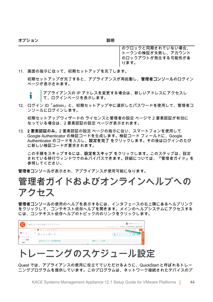**オプション 説明**

のクロックと同期されていない場合、 トークンの検証が失敗し、アカウント のロックアウトが発生する可能性があ ります。

11. 画面の指示に従って、初期セットアップを完了します。

初期セットアップが完了すると、アプライアンスが再起動し、**管理者コンソール**のログイン ページが表示されます。

アプライアンスの IP アドレスを変更する場合は、新しいアドレスにアクセスし Т て、ログインページを表示します。

12. ログイン ID「admin」と、初期セットアップ中に選択したパスワードを使用して、管理者コ ンソールにログインします。

初期セットアップウィザードの ライセンスと管理者の設定 ページで 2 要素認証が有効に なっている場合は、2 要素認証の設定 ページが表示されます。

13. **2 要素認証のみ**。2 要素認証の設定 ページの指示に従い、スマートフォンを使用して Google Authenticator の検証コードを生成します。検証コード フィールドに、Google Authenticator のコードを入力し、**設定を完了** をクリックします。その後はログインのたび に新しい検証コードが要求されます。

この手順をスキップするには、**設定をスキップ** をクリックします。このステップは、設定 されている移行ウィンドウでのみバイパスできます。詳細については、『管理者ガイド』を 参照してください。

**管理者コンソール**が表示され、アプライアンスが使用可能になります。

#### <span id="page-43-0"></span>**管理者ガイドおよびオンラインヘルプへの アクセス**

**管理者コンソール**の使用のヘルプを表示するには、インタフェースの右上隅にあるヘルプリンク をクリックして、コンテキスト依存ヘルプを開きます。メインのヘルプシステムにアクセスする には、コンテキスト依存ヘルプのトピック内のリンクをクリックします。

|                 | KACE システム管理アプライアンス | <b>■</b> admin (デフォルト) v                     |
|-----------------|--------------------|----------------------------------------------|
|                 |                    | セッションタイムアワト: 00:59:51 · 2017年07月28日17時05分54秒 |
|                 | ← 青 ホーム > ダッシュボード  | $\alpha$                                     |
| 作ホーム<br>ダッシュボード | ダッシュボード            | カスタマイズ<br>e                                  |
| ラベル管理<br>検索     | 検索上位のサポート技術情報記事    | 最新のニュース記事                                    |

#### <span id="page-43-1"></span>**トレーニングのスケジュール設定**

Quest では、アプライアンスの使用に役立てていただけるように、QuickStart と呼ばれるトレー ニングプログラムを提供しています。このプログラムは、ネットワーク接続されたデバイスのプ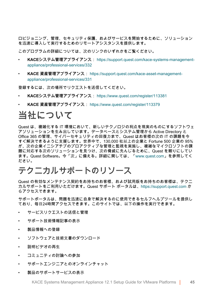ロビジョニング、管理、セキュリティ保護、およびサービスを開始するために、ソリューション を迅速に導入して実行するためのリモートアシスタンスを提供します。

このプログラムの詳細については、次のリンクのいずれかをご覧ください。

- **KACEシステム管理アプライアンス**: [https://support.quest.com/kace-systems-management](https://support.quest.com/kace-systems-management-appliance/professional-services/332)[appliance/professional-services/332](https://support.quest.com/kace-systems-management-appliance/professional-services/332)
- **KACE 資産管理アプライアンス**: [https://support.quest.com/kace-asset-management](https://support.quest.com/kace-asset-management-appliance/professional-services/331)[appliance/professional-services/331](https://support.quest.com/kace-asset-management-appliance/professional-services/331)

登録するには、次の場所でリクエストを送信してください。

- **KACEシステム管理アプライアンス**: <https://www.quest.com/register/113381>
- **KACE 資産管理アプライアンス**:<https://www.quest.com/register/113379>

#### <span id="page-44-0"></span>**当社について**

Quest は、複雑化する IT 環境において、新しいテクノロジの利点を現実のものにするソフトウェ アソリューションを生み出しています。データベースとシステム管理から Active Directory と Office 365 の管理、サイバーセキュリティの回復力まで、Quest はお客様の次の IT の課題を今 すぐ解決できるように支援します。世界中で、130,000 社以上の企業と Fortune 500 企業の 95% が、次の企業イニシアチブのプロアクティブな管理と監視を実施し、複雑なマイクロソフトの課 題に対応する次のソリューションを見つけ、次の脅威に先んじるために、Quest を頼りにしてい ます。Quest Software。今「次」に備える。詳細に関しては、[「www.quest.com」](https://www.quest.com/company/contact-us.aspx)を参照してく ださい。

#### <span id="page-44-1"></span>**テクニカルサポートのリソース**

Quest の有効なメンテナンス契約をお持ちのお客様、および試用版をお持ちのお客様は、テクニ カルサポートをご利用いただけます。Quest サポート ポータルは、[https://support.quest.com](https://support.quest.com/) か らアクセスできます。

サポートポータルは、問題を迅速に自身で解決するのに使用できるセルフヘルプツールを提供し ており、毎日24時間アクセスできます。このサイトでは、以下の操作を実行できます。

- サービスリクエストの送信と管理
- サポート技術情報記事の表示
- 製品情報への登録
- ソフトウェアと技術文書のダウンロード
- 説明ビデオの再生
- コミュニティの討論への参加
- サポートエンジニアとのオンラインチャット
- 製品のサポートサービスの表示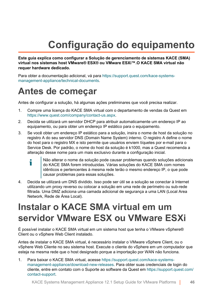## **Configuração do equipamento**

<span id="page-45-0"></span>**Este guia explica como configurar a Solução de gerenciamento de sistemas KACE (SMA) virtual nos sistemas host VMware® ESX® ou VMware ESXi™.O KACE SMA virtual não requer hardware dedicado.**

Para obter a documentação adicional, vá para [https://support.quest.com/kace-systems](https://support.quest.com/kace-systems-management-appliance/technical-documents)[management-appliance/technical-documents](https://support.quest.com/kace-systems-management-appliance/technical-documents).

#### <span id="page-45-1"></span>**Antes de começar**

Antes de configurar a solução, há algumas ações preliminares que você precisa realizar.

- 1. Compre uma licença do KACE SMA virtual com o departamento de vendas da Quest em <https://www.quest.com/company/contact-us.aspx>.
- 2. Decida se utilizará um servidor DHCP para atribuir automaticamente um endereço IP ao equipamento, ou para obter um endereço IP estático para o equipamento.
- 3. Se você obter um endereço IP estático para a solução, insira o nome de host da solução no registro A do seu servidor DNS (Domain Name System) interno. O registro A define o nome do host para o registro MX e isto permite que usuários enviem tíquetes por e-mail para o Service Desk. Por padrão, o nome do host da solução é k1000, mas a Quest recomenda a alteração desse nome para um mais exclusivo durante a configuração inicial.
	- Não alterar o nome da solução pode causar problemas quando soluções adicionais i do KACE SMA forem introduzidas. Várias soluções do KACE SMA com nomes idênticos e pertencentes à mesma rede terão o mesmo endereço IP, o que pode causar problemas para essas soluções.
- 4. Decida se utilizará um DNS dividido. Isso pode ser útil se a solução se conectar à Internet utilizando um proxy reverso ou colocar a solução em uma rede de perímetro ou sub-rede filtrada. Uma DMZ adiciona uma camada adicional de segurança a uma LAN (Local Area Network, Rede de Área Local).

#### <span id="page-45-2"></span>**Instalar o KACE SMA virtual em um servidor VMware ESX ou VMware ESXi**

É possível instalar o KACE SMA virtual em um sistema host que tenha o VMware vSphere® Client ou o vSphere Web Client instalado.

Antes de instalar o KACE SMA virtual, é necessário instalar o VMware vSphere Client, ou o vSphere Web Cliente no seu sistema host. Execute o cliente do vSphere em um computador que esteja na mesma rede que o host designado porque a importação por WAN não funciona.

1. Para baixar o KACE SMA virtual, acesse [https://support.quest.com/kace-systems](https://support.quest.com/kace-systems-management-appliance/download-new-releases)[management-appliance/download-new-releases](https://support.quest.com/kace-systems-management-appliance/download-new-releases). Para obter suas credenciais de login do cliente, entre em contato com o Suporte ao software da Quest em [https://support.quest.com/](https://support.quest.com/contact-support) [contact-support](https://support.quest.com/contact-support).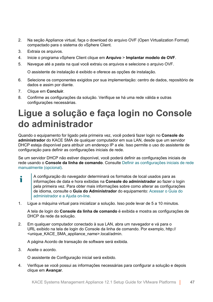- 2. Na seção Appliance virtual, faça o download do arquivo OVF (Open Virtualization Format) compactado para o sistema do vSphere Client.
- 3. Extraia os arquivos.
- 4. Inicie o programa vSphere Client clique em **Arquivo** > **Implantar modelo de OVF**.
- 5. Navegue até a pasta na qual você extraiu os arquivos e selecione o arquivo OVF.

O assistente de instalação é exibido e oferece as opções de instalação.

- 6. Selecione os componentes exigidos por sua implementação: centro de dados, repositório de dados e assim por diante.
- 7. Clique em **Concluir**.
- 8. Confirme as configurações da solução. Verifique se há uma rede válida e outras configurações necessárias.

#### <span id="page-46-0"></span>**Ligue a solução e faça login no Console do administrador**

Quando o equipamento for ligado pela primeira vez, você poderá fazer login no **Console do administrador** do KACE SMA de qualquer computador em sua LAN, desde que um servidor DHCP esteja disponível para atribuir um endereço IP a ele. Isso permite o uso do assistente de configuração para definir as configurações iniciais de rede.

Se um servidor DHCP não estiver disponível, você poderá definir as configurações iniciais de rede usando o **Console da linha de comando**. Consulte [Definir as configurações iniciais de rede](#page-48-0) [manualmente \(opcional\).](#page-48-0)

- A configuração do navegador determinará os formatos de local usados para as i informações de data e hora exibidas na **Console do administrador** ao fazer o login pela primeira vez. Para obter mais informações sobre como alterar as configurações de idioma, consulte o **Guia do Administrador** do equipamento: [Acessar o Guia do](#page-53-0) [administrador e a Ajuda on-line.](#page-53-0)
- 1. Ligue a máquina virtual para inicializar a solução. Isso pode levar de 5 a 10 minutos.

A tela de login do **Console da linha de comando** é exibida e mostra as configurações de DHCP da rede da solução.

2. Em qualquer computador conectado à sua LAN, abra um navegador e vá para o URL exibido na tela de login do Console da linha de comando. Por exemplo, http:// <unique\_KACE\_SMA\_appliance\_name>.local/admin.

A página Acordo de transação de software será exibida.

3. Aceite o acordo.

O assistente de Configuração inicial será exibido.

4. Verifique se você possui as informações necessárias para configurar a solução e depois clique em **Avançar**.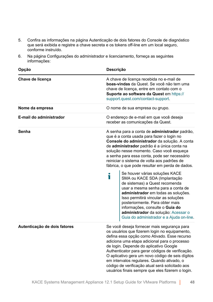- 5. Confira as informações na página Autenticação de dois fatores do Console de diagnóstico que será exibida e registre a chave secreta e os tokens off-line em um local seguro, conforme instruído.
- 6. Na página Configurações do administrador e licenciamento, forneça as seguintes informações:

| Opção                        | Descrição                                                                                                                                                                                                                                                                                                                                                                                                                                                                                           |  |
|------------------------------|-----------------------------------------------------------------------------------------------------------------------------------------------------------------------------------------------------------------------------------------------------------------------------------------------------------------------------------------------------------------------------------------------------------------------------------------------------------------------------------------------------|--|
| Chave de licença             | A chave de licença recebida no e-mail de<br><b>boas-vindas</b> da Quest. Se você não tem uma<br>chave de licença, entre em contato com o<br>Suporte ao software da Quest em https://<br>support.quest.com/contact-support.                                                                                                                                                                                                                                                                          |  |
| Nome da empresa              | O nome de sua empresa ou grupo.                                                                                                                                                                                                                                                                                                                                                                                                                                                                     |  |
| E-mail do administrador      | O endereço de e-mail em que você deseja<br>receber as comunicações da Quest.                                                                                                                                                                                                                                                                                                                                                                                                                        |  |
| Senha                        | A senha para a conta de administrador padrão,<br>que é a conta usada para fazer o login no<br>Console do administrador da solução. A conta<br>de administrador padrão é a única conta na<br>solução nesse momento. Caso você esqueça<br>a senha para essa conta, pode ser necessário<br>reiniciar o sistema de volta aos padrões de<br>fábrica, o que pode resultar em perda de dados.                                                                                                              |  |
|                              | Se houver várias soluções KACE<br>i<br>SMA ou KACE SDA (Implantação<br>de sistemas) a Quest recomenda<br>usar a mesma senha para a conta de<br>administrador em todas as soluções.<br>Isso permitirá vincular as soluções<br>posteriormente. Para obter mais<br>informações, consulte o Guia do<br>administrador da solução: Acessar o<br>Guia do administrador e a Ajuda on-line.                                                                                                                  |  |
| Autenticação de dois fatores | Se você deseja fornecer mais segurança para<br>os usuários que fizerem login no equipamento,<br>defina essa opção como Ativado. Esse recurso<br>adiciona uma etapa adicional para o processo<br>de login. Depende do aplicativo Google<br>Authenticator para gerar códigos de verificação.<br>O aplicativo gera um novo código de seis dígitos<br>em intervalos regulares. Quando ativado, o<br>código de verificação atual será solicitado aos<br>usuários finais sempre que eles fizerem o login. |  |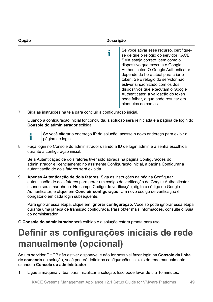| Opcão | Descrição                                                                                                                                                                                                                                                                                                                                                                                                                                                   |
|-------|-------------------------------------------------------------------------------------------------------------------------------------------------------------------------------------------------------------------------------------------------------------------------------------------------------------------------------------------------------------------------------------------------------------------------------------------------------------|
|       | Se você ativar esse recurso, certifique-<br>se de que o relógio do servidor KACE<br>SMA esteja correto, bem como o<br>dispositivo que executa o Google<br>Authenticator. O Google Authenticator<br>depende da hora atual para criar o<br>token. Se o relógio do servidor não<br>estiver sincronizado com os dos<br>dispositivos que executam o Google<br>Authenticator, a validação do token<br>pode falhar, o que pode resultar em<br>bloqueios de contas. |

7. Siga as instruções na tela para concluir a configuração inicial.

Quando a configuração inicial for concluída, a solução será reiniciada e a página de login do **Console do administrador** exibida.

- Ť
- Se você alterar o endereço IP da solução, acesse o novo endereço para exibir a página de login.
- 8. Faça login no Console do administrador usando a ID de login admin e a senha escolhida durante a configuração inicial.

Se a Autenticação de dois fatores tiver sido ativada na página Configurações do administrador e licenciamento no assistente Configuração inicial, a página Configurar a autenticação de dois fatores será exibida.

9. **Apenas Autenticação de dois fatores**. Siga as instruções na página Configurar autenticação de dois fatores para gerar um código de verificação do Google Authenticator usando seu smartphone. No campo Código de verificação, digite o código do Google Authenticator, e clique em **Concluir configuração**. Um novo código de verificação é obrigatório em cada login subsequente.

Para ignorar essa etapa, clique em **Ignorar configuração**. Você só pode ignorar essa etapa durante uma janeça de transição configurada. Para obter mais informações, consulte o Guia do administrador.

O **Console do administrador** será exibido e a solução estará pronta para uso.

#### <span id="page-48-0"></span>**Definir as configurações iniciais de rede manualmente (opcional)**

Se um servidor DHCP não estiver disponível e não for possível fazer login na **Console da linha de comando** da solução, você poderá definir as configurações iniciais de rede manualmente usando a **Console do administrador**.

1. Ligue a máquina virtual para inicializar a solução. Isso pode levar de 5 a 10 minutos.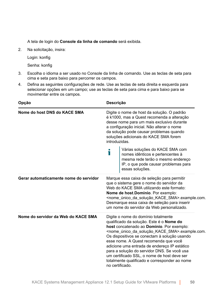A tela de login do **Console da linha de comando** será exibida.

2. Na solicitação, insira:

Login: konfig

Senha: konfig

- 3. Escolha o idioma a ser usado no Console da linha de comando. Use as teclas de seta para cima e seta para baixo para percorrer os campos.
- 4. Defina as seguintes configurações de rede. Use as teclas de seta direita e esquerda para selecionar opções em um campo; use as teclas de seta para cima e para baixo para se movimentar entre os campos.

| Opção                                  | <b>Descrição</b><br>Digite o nome de host da solução. O padrão<br>é k1000, mas a Quest recomenda a alteração<br>desse nome para um mais exclusivo durante<br>a configuração inicial. Não alterar o nome<br>da solução pode causar problemas quando<br>soluções adicionais do KACE SMA forem<br>introduzidas.                                              |                                                                                                                                                                                                                                                                                                                                                                                                                                                                                                                                  |
|----------------------------------------|-----------------------------------------------------------------------------------------------------------------------------------------------------------------------------------------------------------------------------------------------------------------------------------------------------------------------------------------------------------|----------------------------------------------------------------------------------------------------------------------------------------------------------------------------------------------------------------------------------------------------------------------------------------------------------------------------------------------------------------------------------------------------------------------------------------------------------------------------------------------------------------------------------|
| Nome do host DNS do KACE SMA           |                                                                                                                                                                                                                                                                                                                                                           |                                                                                                                                                                                                                                                                                                                                                                                                                                                                                                                                  |
|                                        | i                                                                                                                                                                                                                                                                                                                                                         | Várias soluções do KACE SMA com<br>nomes idênticos e pertencentes à<br>mesma rede terão o mesmo endereço<br>IP, o que pode causar problemas para<br>essas soluções.                                                                                                                                                                                                                                                                                                                                                              |
| Gerar automaticamente nome do servidor | Marque essa caixa de seleção para permitir<br>que o sistema gere o nome do servidor da<br>Web do KACE SMA utilizando este formato:<br>Nome de host Domínio. Por exemplo:<br><nome_único_da_solução_kace_sma>.example.com.<br/>Desmarque essa caixa de seleção para inserir<br/>um nome do servidor da Web personalizado.</nome_único_da_solução_kace_sma> |                                                                                                                                                                                                                                                                                                                                                                                                                                                                                                                                  |
| Nome do servidor da Web do KACE SMA    |                                                                                                                                                                                                                                                                                                                                                           | Digite o nome do domínio totalmente<br>qualificado da solução. Este é o Nome do<br>host concatenado ao Domínio. Por exemplo:<br><nome_único_da_solução_kace_sma>.example.com.<br/>Os dispositivos se conectam à solução usando<br/>esse nome. A Quest recomenda que você<br/>adicione uma entrada de endereço IP estático<br/>para a solução do servidor DNS. Se você usa<br/>um certificado SSL, o nome de host deve ser<br/>totalmente qualificado e corresponder ao nome<br/>no certificado.</nome_único_da_solução_kace_sma> |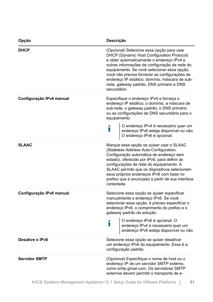| Opção                    | Descrição                                                                                                                                                                                                                                                                                                                                                                                          |
|--------------------------|----------------------------------------------------------------------------------------------------------------------------------------------------------------------------------------------------------------------------------------------------------------------------------------------------------------------------------------------------------------------------------------------------|
| <b>DHCP</b>              | (Opcional) Selecione essa opção para usar<br>DHCP (Dynamic Host Configuration Protocol)<br>e obter automaticamente o endereço IPv4 e<br>outras informações de configuração da rede do<br>equipamento. Se você selecionar essa opção,<br>você não precisa fornecer as configurações de<br>endereço IP estático, domínio, máscara de sub-<br>rede, gateway padrão, DNS primário e DNS<br>secundário. |
| Configuração IPv4 manual | Especifique o endereço IPv4 e forneça o<br>endereço IP estático, o domínio, a máscara de<br>sub-rede, o gateway padrão, o DNS primário<br>ou as configurações de DNS secundário para o<br>equipamento.                                                                                                                                                                                             |
|                          | O endereço IPv4 é necessário quer um<br>endereço IPv6 esteja disponível ou não.<br>O endereço IPv6 é opcional.                                                                                                                                                                                                                                                                                     |
| <b>SLAAC</b>             | Marque essa opção se quiser usar o SLAAC<br>(Stateless Address Auto-Configuration,<br>Configuração automática de endereço sem<br>estado), oferecido por IPv6, para definir as<br>configurações de rede do equipamento. A<br>SLAAC permite que os dispositivos selecionem<br>seus próprios endereços IPv6 com base no<br>prefixo que é anunciado a partir de sua interface<br>conectada.            |
| Configuração IPv6 manual | Selecione essa opção se quiser especificar<br>manualmente o endereço IPv6. Se você<br>selecionar essa opção, é preciso especificar o<br>endereço IPv6, o comprimento do prefixo e o<br>gateway padrão da solução.                                                                                                                                                                                  |
|                          | O endereço IPv6 é opcional. O<br>Т<br>endereço IPv4 é necessário quer um<br>endereço IPv6 esteja disponível ou não.                                                                                                                                                                                                                                                                                |
| Desative o IPv6          | Selecione essa opção se quiser desativar<br>um endereço IPv6 do equipamento. Essa é a<br>configuração padrão.                                                                                                                                                                                                                                                                                      |
| <b>Servidor SMTP</b>     | (Opcional) Especifique o nome de host ou o<br>endereço IP de um servidor SMTP externo,<br>como smtp.gmail.com. Os servidores SMTP<br>externos devem permitir o transporte de e-                                                                                                                                                                                                                    |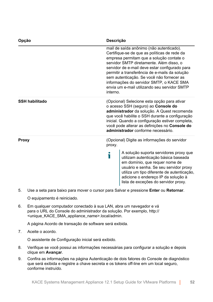| Opção                 | Descrição                                                                                                                                                                                                                                                                                                                                                                                                                                 |
|-----------------------|-------------------------------------------------------------------------------------------------------------------------------------------------------------------------------------------------------------------------------------------------------------------------------------------------------------------------------------------------------------------------------------------------------------------------------------------|
|                       | mail de saída anônimo (não autenticado).<br>Certifique-se de que as políticas de rede da<br>empresa permitam que a solução contate o<br>servidor SMTP diretamente. Além disso, o<br>servidor de e-mail deve estar configurado para<br>permitir a transferência de e-mails da solução<br>sem autenticação. Se você não fornecer as<br>informações do servidor SMTP, o KACE SMA<br>envia um e-mail utilizando seu servidor SMTP<br>interno. |
| <b>SSH habilitado</b> | (Opcional) Selecione esta opção para ativar<br>o acesso SSH (seguro) ao Console do<br>administrador da solução. A Quest recomenda<br>que você habilite o SSH durante a configuração<br>inicial. Quando a configuração estiver completa,<br>você pode alterar as definições no Console do<br>administrador conforme necessário.                                                                                                            |
| <b>Proxy</b>          | (Opcional) Digite as informações do servidor<br>proxy.                                                                                                                                                                                                                                                                                                                                                                                    |
|                       | A solução suporta servidores proxy que<br>Т<br>utilizam autenticação básica baseada<br>em domínio, que requer nome de<br>usuário e senha. Se seu servidor proxy<br>utiliza um tipo diferente de autenticação,<br>adicione o endereço IP da solução à<br>lista de exceções do servidor proxy.                                                                                                                                              |

5. Use a seta para baixo para mover o cursor para Salvar e pressione **Enter** ou **Retornar**.

O equipamento é reiniciado.

6. Em qualquer computador conectado à sua LAN, abra um navegador e vá para o URL do Console do administrador da solução. Por exemplo, http:// <unique\_KACE\_SMA\_appliance\_name>.local/admin.

A página Acordo de transação de software será exibida.

7. Aceite o acordo.

O assistente de Configuração inicial será exibido.

- 8. Verifique se você possui as informações necessárias para configurar a solução e depois clique em **Avançar**.
- 9. Confira as informações na página Autenticação de dois fatores do Console de diagnóstico que será exibida e registre a chave secreta e os tokens off-line em um local seguro, conforme instruído.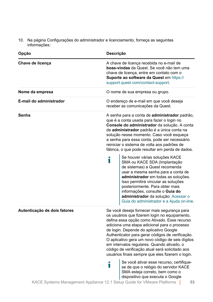10. Na página Configurações do administrador e licenciamento, forneça as seguintes informações:

| Opção                        | Descrição                                                                                                                                                                                                                                                                                                                                                                                                                                                                                           |  |
|------------------------------|-----------------------------------------------------------------------------------------------------------------------------------------------------------------------------------------------------------------------------------------------------------------------------------------------------------------------------------------------------------------------------------------------------------------------------------------------------------------------------------------------------|--|
| Chave de licença             | A chave de licença recebida no e-mail de<br>boas-vindas da Quest. Se você não tem uma<br>chave de licença, entre em contato com o<br>Suporte ao software da Quest em https://<br>support.quest.com/contact-support.                                                                                                                                                                                                                                                                                 |  |
| Nome da empresa              | O nome de sua empresa ou grupo.                                                                                                                                                                                                                                                                                                                                                                                                                                                                     |  |
| E-mail do administrador      | O endereço de e-mail em que você deseja<br>receber as comunicações da Quest.                                                                                                                                                                                                                                                                                                                                                                                                                        |  |
| Senha                        | A senha para a conta de <b>administrador</b> padrão,<br>que é a conta usada para fazer o login no<br>Console do administrador da solução. A conta<br>de administrador padrão é a única conta na<br>solução nesse momento. Caso você esqueça<br>a senha para essa conta, pode ser necessário<br>reiniciar o sistema de volta aos padrões de<br>fábrica, o que pode resultar em perda de dados.                                                                                                       |  |
|                              | Se houver várias soluções KACE<br>Ť<br>SMA ou KACE SDA (Implantação<br>de sistemas) a Quest recomenda<br>usar a mesma senha para a conta de<br>administrador em todas as soluções.<br>Isso permitirá vincular as soluções<br>posteriormente. Para obter mais<br>informações, consulte o Guia do<br>administrador da solução: Acessar o<br>Guia do administrador e a Ajuda on-line.                                                                                                                  |  |
| Autenticação de dois fatores | Se você deseja fornecer mais segurança para<br>os usuários que fizerem login no equipamento,<br>defina essa opção como Ativado. Esse recurso<br>adiciona uma etapa adicional para o processo<br>de login. Depende do aplicativo Google<br>Authenticator para gerar códigos de verificação.<br>O aplicativo gera um novo código de seis dígitos<br>em intervalos regulares. Quando ativado, o<br>código de verificação atual será solicitado aos<br>usuários finais sempre que eles fizerem o login. |  |
|                              | Se você ativar esse recurso, certifique-<br>Т<br>se de que o relógio do servidor KACE<br>SMA esteja correto, bem como o<br>dispositivo que executa o Google<br>KACE Systems Management Appliance 12.1 Setup Guide for VMware Platforms<br>53                                                                                                                                                                                                                                                        |  |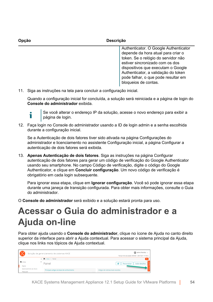| Opcão | <b>Descrição</b>                                                                                                                                                                                                                                                                                  |
|-------|---------------------------------------------------------------------------------------------------------------------------------------------------------------------------------------------------------------------------------------------------------------------------------------------------|
|       | Authenticator. O Google Authenticator<br>depende da hora atual para criar o<br>token. Se o relógio do servidor não<br>estiver sincronizado com os dos<br>dispositivos que executam o Google<br>Authenticator, a validação do token<br>pode falhar, o que pode resultar em<br>bloqueios de contas. |

11. Siga as instruções na tela para concluir a configuração inicial.

Quando a configuração inicial for concluída, a solução será reiniciada e a página de login do **Console do administrador** exibida.

Т

Se você alterar o endereço IP da solução, acesse o novo endereço para exibir a página de login.

12. Faça login no Console do administrador usando a ID de login admin e a senha escolhida durante a configuração inicial.

Se a Autenticação de dois fatores tiver sido ativada na página Configurações do administrador e licenciamento no assistente Configuração inicial, a página Configurar a autenticação de dois fatores será exibida.

13. **Apenas Autenticação de dois fatores**. Siga as instruções na página Configurar autenticação de dois fatores para gerar um código de verificação do Google Authenticator usando seu smartphone. No campo Código de verificação, digite o código do Google Authenticator, e clique em **Concluir configuração**. Um novo código de verificação é obrigatório em cada login subsequente.

Para ignorar essa etapa, clique em **Ignorar configuração**. Você só pode ignorar essa etapa durante uma janeça de transição configurada. Para obter mais informações, consulte o Guia do administrador.

O **Console do administrador** será exibido e a solução estará pronta para uso.

#### <span id="page-53-0"></span>**Acessar o Guia do administrador e a Ajuda on-line**

Para obter ajuda usando o **Console do administrador**, clique no ícone de Ajuda no canto direito superior da interface para abrir a Ajuda contextual. Para acessar o sistema principal da Ajuda, clique nos links nos tópicos de Ajuda contextual.

| <b>COD</b><br>Solução de gerenciamento de sistemas KACE |                         | admin (Padrão) v<br>Tempo limite da sessão: 00.59:38 + 28-07-2017 17:18:12 |  |                                             |
|---------------------------------------------------------|-------------------------|----------------------------------------------------------------------------|--|---------------------------------------------|
|                                                         |                         | < nicio > Painel                                                           |  | $\alpha$                                    |
| n Início                                                |                         | Painel                                                                     |  | e<br><b>Exibir detalhes</b><br>Personalizar |
| Painel                                                  |                         |                                                                            |  |                                             |
| Pesquisar                                               | Gerenciamento de rótulo | Principais artigos da base de conhecimento                                 |  | Artigos de notícias mais recentes           |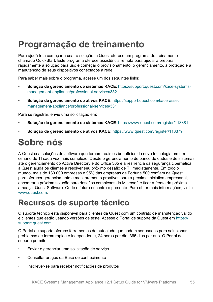### <span id="page-54-0"></span>**Programação de treinamento**

Para ajudá-lo a começar a usar a solução, a Quest oferece um programa de treinamento chamado QuickStart. Este programa oferece assistência remota para ajudar a preparar rapidamente a solução para uso e começar o provisionamento, o gerenciamento, a proteção e a manutenção de seus dispositivos conectados à rede.

Para saber mais sobre o programa, acesse um dos seguintes links:

- **Solução de gerenciamento de sistemas KACE**: [https://support.quest.com/kace-systems](https://support.quest.com/kace-systems-management-appliance/professional-services/332)[management-appliance/professional-services/332](https://support.quest.com/kace-systems-management-appliance/professional-services/332)
- **Solução de gerenciamento de ativos KACE**: [https://support.quest.com/kace-asset](https://support.quest.com/kace-asset-management-appliance/professional-services/331)[management-appliance/professional-services/331](https://support.quest.com/kace-asset-management-appliance/professional-services/331)

Para se registrar, envie uma solicitação em:

- **Solução de gerenciamento de sistemas KACE:** <https://www.quest.com/register/113381>
- **Solução de gerenciamento de ativos KACE**: <https://www.quest.com/register/113379>

#### <span id="page-54-1"></span>**Sobre nós**

A Quest cria soluções de software que tornam reais os benefícios da nova tecnologia em um cenário de TI cada vez mais complexo. Desde o gerenciamento de banco de dados e de sistemas até o gerenciamento do Active Directory e do Office 365 e a resiliência da segurança cibernética, a Quest ajuda os clientes a resolver seu próximo desafio de TI imediatamente. Em todo o mundo, mais de 130.000 empresas e 95% das empresas da Fortune 500 confiam na Quest para oferecer gerenciamento e monitoramento proativos para a próxima iniciativa empresarial, encontrar a próxima solução para desafios complexos da Microsoft e ficar à frente da próxima ameaça. Quest Software. Onde o futuro encontra o presente. Para obter mais informações, visite [www.quest.com](https://www.quest.com/company/contact-us.aspx).

#### <span id="page-54-2"></span>**Recursos de suporte técnico**

O suporte técnico está disponível para clientes da Quest com um contrato de manutenção válido e clientes que estão usando versões de teste. Acesse o Portal de suporte da Quest em [https://](https://support.quest.com/) [support.quest.com.](https://support.quest.com/)

O Portal de suporte oferece ferramentas de autoajuda que podem ser usadas para solucionar problemas de forma rápida e independente, 24 horas por dia, 365 dias por ano. O Portal de suporte permite:

- Enviar e gerenciar uma solicitação de serviço
- Consultar artigos da Base de conhecimento
- Inscrever-se para receber notificações de produtos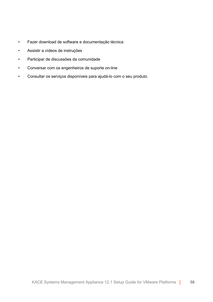- Fazer download de software e documentação técnica
- Assistir a vídeos de instruções
- Participar de discussões da comunidade
- Conversar com os engenheiros de suporte on-line
- Consultar os serviços disponíveis para ajudá-lo com o seu produto.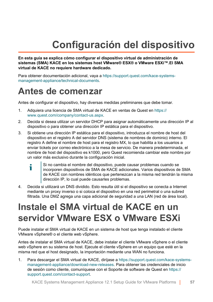## **Configuración del dispositivo**

<span id="page-56-0"></span>**En esta guía se explica cómo configurar el dispositivo virtual de administración de sistemas (SMA) KACE en los sistemas host VMware® ESX® o VMware ESXi™.El SMA virtual de KACE no requiere hardware dedicado.**

Para obtener documentación adicional, vaya a [https://support.quest.com/kace-systems](https://support.quest.com/kace-systems-management-appliance/technical-documents)[management-appliance/technical-documents](https://support.quest.com/kace-systems-management-appliance/technical-documents).

#### <span id="page-56-1"></span>**Antes de comenzar**

Antes de configurar el dispositivo, hay diversas medidas preliminares que debe tomar.

- 1. Adquiera una licencia de SMA virtual de KACE en ventas de Quest en [https://](https://www.quest.com/company/contact-us.aspx) [www.quest.com/company/contact-us.aspx](https://www.quest.com/company/contact-us.aspx).
- 2. Decida si desea utilizar un servidor DHCP para asignar automáticamente una dirección IP al dispositivo o para obtener una dirección IP estática para el dispositivo.
- 3. Si obtiene una dirección IP estática para el dispositivo, introduzca el nombre de host del dispositivo en el registro A del servidor DNS (sistema de nombres de dominio) interno. El registro A define el nombre de host para el registro MX, lo que habilita a los usuarios a enviar tickets por correo electrónico a la mesa de servicio. De manera predeterminada, el nombre de host del dispositivo es k1000, pero Quest recomienda cambiar este nombre por un valor más exclusivo durante la configuración inicial.
	- Si no cambia el nombre del dispositivo, puede causar problemas cuando se i incorporen dispositivos de SMA de KACE adicionales. Varios dispositivos de SMA de KACE con nombres idénticos que pertenezcan a la misma red tendrán la misma dirección IP, lo cual puede causarles problemas.
- 4. Decida si utilizará un DNS dividido. Esto resulta útil si el dispositivo se conecta a Internet mediante un proxy inverso o si coloca el dispositivo en una red perimetral o una subred filtrada. Una DMZ agrega una capa adicional de seguridad a una LAN (red de área local).

#### <span id="page-56-2"></span>**Instale el SMA virtual de KACE en un servidor VMware ESX o VMware ESXi**

Puede instalar el SMA virtual de KACE en un sistema de host que tenga instalado el cliente VMware vSphere® o el cliente web vSphere.

Antes de instalar el SMA virtual de KACE, debe instalar el cliente VMware vSphere o el cliente web vSphere en su sistema de host. Ejecute el cliente vSphere en un equipo que esté en la misma red que el host designado, la importación mediante una WAN no funciona.

1. Para descargar el SMA virtual de KACE, diríjase a [https://support.quest.com/kace-systems](https://support.quest.com/kace-systems-management-appliance/download-new-releases)[management-appliance/download-new-releases](https://support.quest.com/kace-systems-management-appliance/download-new-releases). Para obtener las credenciales de inicio de sesión como cliente, comuníquese con el Soporte de software de Quest en [https://](https://support.quest.com/contact-support) [support.quest.com/contact-support](https://support.quest.com/contact-support).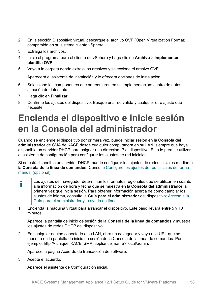- 2. En la sección Dispositivo virtual, descargue el archivo OVF (Open Virtualization Format) comprimido en su sistema cliente vSphere.
- 3. Extraiga los archivos.
- 4. Inicie el programa para el cliente de vSphere y haga clic en **Archivo** > **Implementar plantilla OVF**.
- 5. Vaya a la carpeta donde extrajo los archivos y seleccione el archivo OVF.

Aparecerá el asistente de instalación y le ofrecerá opciones de instalación.

- 6. Seleccione los componentes que se requieren en su implementación: centro de datos, almacén de datos, etc.
- 7. Haga clic en **Finalizar**.
- 8. Confirme los ajustes del dispositivo. Busque una red válida y cualquier otro ajuste que necesite.

### <span id="page-57-0"></span>**Encienda el dispositivo e inicie sesión en la Consola del administrador**

Cuando se enciende el dispositivo por primera vez, puede iniciar sesión en la **Consola del administrador** de SMA de KACE desde cualquier computadora en su LAN, siempre que haya disponible un servidor DHCP para asignar una dirección IP al dispositivo. Esto le permite utilizar el asistente de configuración para configurar los ajustes de red iniciales.

Si no está disponible un servidor DHCP, puede configurar los ajustes de redes iniciales mediante la **Consola de la línea de comandos**. Consulte [Configure los ajustes de red iniciales de forma](#page-59-0) [manual \(opcional\).](#page-59-0)

- i Los ajustes del navegador determinan los formatos regionales que se utilizan en cuanto a la información de hora y fecha que se muestra en la **Consola del administrador** la primera vez que inicia sesión. Para obtener información acerca de cómo cambiar los ajustes de idioma, consulte la **Guía para el administrador** del dispositivo: [Acceso a la](#page-64-0) [Guía para el administrador y la ayuda en línea.](#page-64-0)
- 1. Encienda la máquina virtual para arrancar el dispositivo. Este paso llevará entre 5 y 10 minutos.

Aparece la pantalla de inicio de sesión de la **Consola de la línea de comandos** y muestra los ajustes de redes DHCP del dispositivo.

2. En cualquier equipo conectado a su LAN, abra un navegador y vaya a la URL que se muestra en la pantalla de inicio de sesión de la Consola de la línea de comandos. Por ejemplo, http://<unique\_KACE\_SMA\_appliance\_name>.local/admin.

Aparece la página Acuerdo de transacción de software.

3. Acepte el acuerdo.

Aparece el asistente de Configuración inicial.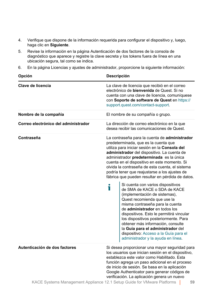- 4. Verifique que dispone de la información requerida para configurar el dispositivo y, luego, haga clic en **Siguiente**.
- 5. Revise la información en la página Autenticación de dos factores de la consola de diagnóstico que aparece y registre la clave secreta y los tokens fuera de línea en una ubicación segura, tal como se indica.
- 6. En la página Licencias y ajustes de administrador, proporcione la siguiente información:

| Opción                                                                  | <b>Descripción</b>                                                                                                                                                                                                                                                                                                                                                                                                                                                                                                                                                                                                                                                                                                                                                                                                                                                                                    |                                                                                                                                                                                                                                                                                                                                                       |  |
|-------------------------------------------------------------------------|-------------------------------------------------------------------------------------------------------------------------------------------------------------------------------------------------------------------------------------------------------------------------------------------------------------------------------------------------------------------------------------------------------------------------------------------------------------------------------------------------------------------------------------------------------------------------------------------------------------------------------------------------------------------------------------------------------------------------------------------------------------------------------------------------------------------------------------------------------------------------------------------------------|-------------------------------------------------------------------------------------------------------------------------------------------------------------------------------------------------------------------------------------------------------------------------------------------------------------------------------------------------------|--|
| Clave de licencia                                                       | La clave de licencia que recibió en el correo<br>electrónico de bienvenida de Quest. Si no<br>cuenta con una clave de licencia, comuníquese<br>con Soporte de software de Quest en https://<br>support.quest.com/contact-support.                                                                                                                                                                                                                                                                                                                                                                                                                                                                                                                                                                                                                                                                     |                                                                                                                                                                                                                                                                                                                                                       |  |
| Nombre de la compañía                                                   |                                                                                                                                                                                                                                                                                                                                                                                                                                                                                                                                                                                                                                                                                                                                                                                                                                                                                                       | El nombre de su compañía o grupo.                                                                                                                                                                                                                                                                                                                     |  |
| Correo electrónico del administrador                                    | La dirección de correo electrónico en la que<br>desea recibir las comunicaciones de Quest.                                                                                                                                                                                                                                                                                                                                                                                                                                                                                                                                                                                                                                                                                                                                                                                                            |                                                                                                                                                                                                                                                                                                                                                       |  |
| Contraseña                                                              | La contraseña para la cuenta de administrador<br>predeterminada, que es la cuenta que<br>utiliza para iniciar sesión en la Consola del<br>administrador del dispositivo. La cuenta de<br>administrador predeterminada es la única<br>cuenta en el dispositivo en este momento. Si<br>olvida la contraseña de esta cuenta, el sistema<br>podría tener que reajustarse a los ajustes de<br>fábrica que pueden resultar en pérdida de datos.<br>Si cuenta con varios dispositivos<br>Т<br>de SMA de KACE o SDA de KACE<br>(implementación de sistemas),<br>Quest recomienda que use la<br>misma contraseña para la cuenta<br>de administrador en todos los<br>dispositivos. Esto le permitirá vincular<br>los dispositivos posteriormente. Para<br>obtener más información, consulte<br>la Guía para el administrador del<br>dispositivo: Acceso a la Guía para el<br>administrador y la ayuda en línea. |                                                                                                                                                                                                                                                                                                                                                       |  |
| Autenticación de dos factores                                           |                                                                                                                                                                                                                                                                                                                                                                                                                                                                                                                                                                                                                                                                                                                                                                                                                                                                                                       | Si desea proporcionar una mayor seguridad para<br>los usuarios que inician sesión en el dispositivo,<br>establezca este valor como Habilitado. Esta<br>función agrega un paso adicional en el proceso<br>de inicio de sesión. Se basa en la aplicación<br>Google Authenticator para generar códigos de<br>verificación. La aplicación genera un nuevo |  |
| KACE Systems Management Annliance 12.1 Setun Guide for VMware Platforms |                                                                                                                                                                                                                                                                                                                                                                                                                                                                                                                                                                                                                                                                                                                                                                                                                                                                                                       | 50                                                                                                                                                                                                                                                                                                                                                    |  |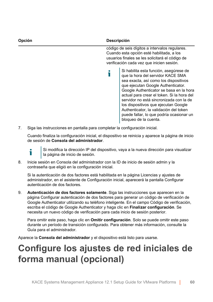| Opción | Descripción                                                                                                                                                                                                                                                                                                                                                                                                                                           |
|--------|-------------------------------------------------------------------------------------------------------------------------------------------------------------------------------------------------------------------------------------------------------------------------------------------------------------------------------------------------------------------------------------------------------------------------------------------------------|
|        | código de seis dígitos a intervalos regulares.<br>Cuando esta opción esté habilitada, a los<br>usuarios finales se les solicitará el código de<br>verificación cada vez que inicien sesión.                                                                                                                                                                                                                                                           |
|        | Si habilita esta función, asegúrese de<br>que la hora del servidor KACE SMA<br>sea exacta, así como los dispositivos<br>que ejecutan Google Authenticator.<br>Google Authenticator se basa en la hora<br>actual para crear el token. Si la hora del<br>servidor no está sincronizada con la de<br>los dispositivos que ejecutan Google<br>Authenticator, la validación del token<br>puede fallar, lo que podría ocasionar un<br>bloqueo de la cuenta. |

7. Siga las instrucciones en pantalla para completar la configuración inicial.

Cuando finaliza la configuración inicial, el dispositivo se reinicia y aparece la página de inicio de sesión de **Consola del administrador**.

- Si modifica la dirección IP del dispositivo, vaya a la nueva dirección para visualizar Ť la página de inicio de sesión.
- 8. Inicie sesión en Consola del administrador con la ID de inicio de sesión admin y la contraseña que eligió en la configuración inicial.

Si la autenticación de dos factores está habilitada en la página Licencias y ajustes de administrador, en el asistente de Configuración inicial, aparecerá la pantalla Configurar autenticación de dos factores.

9. **Autenticación de dos factores solamente**. Siga las instrucciones que aparecen en la página Configurar autenticación de dos factores para generar un código de verificación de Google Authenticator utilizando su teléfono inteligente. En el campo Código de verificación, escriba el código de Google Authenticator y haga clic en **Finalizar configuración**. Se necesita un nuevo código de verificación para cada inicio de sesión posterior.

Para omitir este paso, haga clic en **Omitir configuración**. Solo se puede omitir este paso durante un período de transición configurado. Para obtener más información, consulte la Guía para el administrador.

Aparece la **Consola del administrador** y el dispositivo está listo para usarse.

#### <span id="page-59-0"></span>**Configure los ajustes de red iniciales de forma manual (opcional)**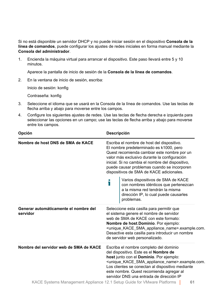Si no está disponible un servidor DHCP y no puede iniciar sesión en el dispositivo **Consola de la línea de comandos**, puede configurar los ajustes de redes iniciales en forma manual mediante la **Consola del administrador**.

1. Encienda la máquina virtual para arrancar el dispositivo. Este paso llevará entre 5 y 10 minutos.

Aparece la pantalla de inicio de sesión de la **Consola de la línea de comandos**.

2. En la ventana de inicio de sesión, escriba:

Inicio de sesión: konfig

Contraseña: konfig

- 3. Seleccione el idioma que se usará en la Consola de la línea de comandos. Use las teclas de flecha arriba y abajo para moverse entre los campos.
- 4. Configure los siguientes ajustes de redes. Use las teclas de flecha derecha e izquierda para seleccionar las opciones en un campo; use las teclas de flecha arriba y abajo para moverse entre los campos.

| <b>Descripción</b><br>Opción                      |                                                                                                                                                                                                                                                                                                                                                                                                                                                                                                                                                                                                               |  |  |
|---------------------------------------------------|---------------------------------------------------------------------------------------------------------------------------------------------------------------------------------------------------------------------------------------------------------------------------------------------------------------------------------------------------------------------------------------------------------------------------------------------------------------------------------------------------------------------------------------------------------------------------------------------------------------|--|--|
| Nombre de host DNS de SMA de KACE                 | Escriba el nombre de host del dispositivo.<br>El nombre predeterminado es k1000, pero<br>Quest recomienda cambiar este nombre por un<br>valor más exclusivo durante la configuración<br>inicial. Si no cambia el nombre del dispositivo,<br>puede causar problemas cuando se incorporen<br>dispositivos de SMA de KACE adicionales.                                                                                                                                                                                                                                                                           |  |  |
|                                                   | Varios dispositivos de SMA de KACE<br>con nombres idénticos que pertenezcan<br>a la misma red tendrán la misma<br>dirección IP, lo cual puede causarles<br>problemas.                                                                                                                                                                                                                                                                                                                                                                                                                                         |  |  |
| Generar automáticamente el nombre del<br>servidor | Seleccione esta casilla para permitir que<br>el sistema genere el nombre de servidor<br>web de SMA de KACE con este formato:<br>Nombre de host Dominio. Por ejemplo:<br><unique_kace_sma_appliance_name>.example.com.<br/>Desactive esta casilla para introducir un nombre<br/>de servidor web personalizado.</unique_kace_sma_appliance_name>                                                                                                                                                                                                                                                                |  |  |
| Nombre del servidor web de SMA de KACE            | Escriba el nombre completo del dominio<br>del dispositivo. Este es el Nombre de<br>host junto con el Dominio. Por ejemplo:<br><unique_kace_sma_appliance_name>.example.com.<br/>Los clientes se conectan al dispositivo mediante<br/>este nombre. Quest recomienda agregar al<br/>servidor DNS una entrada de dirección IP<br/><math>\overline{A}</math> <math>\overline{O}</math> if <math>\overline{O}</math> is the <math>\overline{O}</math> in <math>\overline{A}</math> is the <math>\overline{O}</math> is <math>\overline{O}</math> is the <math>\overline{O}</math></unique_kace_sma_appliance_name> |  |  |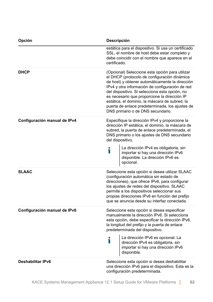| Opción                       | <b>Descripción</b>                                                                                                                                                                                                                                                                                                                                                                                                                                |  |  |
|------------------------------|---------------------------------------------------------------------------------------------------------------------------------------------------------------------------------------------------------------------------------------------------------------------------------------------------------------------------------------------------------------------------------------------------------------------------------------------------|--|--|
|                              | estática para el dispositivo. Si usa un certificado<br>SSL, el nombre de host debe estar completo y<br>debe coincidir con el nombre que aparece en el<br>certificado.                                                                                                                                                                                                                                                                             |  |  |
| <b>DHCP</b>                  | (Opcional) Seleccione esta opción para utilizar<br>el DHCP (protocolo de configuración dinámica<br>de host) y obtener automáticamente la dirección<br>IPv4 y otra información de configuración de red<br>del dispositivo. Si selecciona esta opción, no<br>es necesario que proporcione la dirección IP<br>estática, el dominio, la máscara de subred, la<br>puerta de enlace predeterminada, los ajustes de<br>DNS primario o de DNS secundario. |  |  |
| Configuración manual de IPv4 | Especifique la dirección IPv4 y proporcione la<br>dirección IP estática, el dominio, la máscara de<br>subred, la puerta de enlace predeterminada, el<br>DNS primario o los ajustes de DNS secundario<br>del dispositivo.                                                                                                                                                                                                                          |  |  |
|                              | La dirección IPv4 es obligatoria, sin<br>T<br>importar si hay una dirección IPv6<br>disponible. La dirección IPv6 es<br>opcional.                                                                                                                                                                                                                                                                                                                 |  |  |
| <b>SLAAC</b>                 | Seleccione esta opción si desea utilizar SLAAC<br>(configuración automática sin estado de<br>direcciones), que ofrece IPv6, para configurar<br>los ajustes de redes del dispositivo. SLAAC<br>permite a los dispositivos seleccionar sus<br>propias direcciones IPv6 en función del prefijo<br>que se anuncia desde su interfaz conectada.                                                                                                        |  |  |
| Configuración manual de IPv6 | Seleccione esta opción si desea especificar<br>manualmente la dirección IPv6. Si selecciona<br>esta opción, debe especificar la dirección IPv6,<br>la longitud del prefijo y la puerta de enlace<br>predeterminada del dispositivo.                                                                                                                                                                                                               |  |  |
|                              | La dirección IPv6 es opcional. La<br>T<br>dirección IPv4 es obligatoria, sin<br>importar si hay una dirección IPv6<br>disponible.                                                                                                                                                                                                                                                                                                                 |  |  |
| <b>Deshabilitar IPv6</b>     | Seleccione esta opción si desea deshabilitar<br>una dirección IPv6 para el dispositivo. Esta es la<br>configuración predeterminada.                                                                                                                                                                                                                                                                                                               |  |  |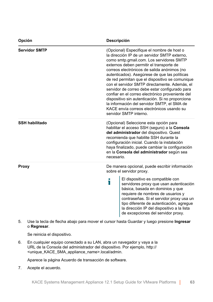| Opción                | Descripción                                                                                                                                                                                                                                                                                                                                                                                                                                                                                                                                                                                                                                                            |  |
|-----------------------|------------------------------------------------------------------------------------------------------------------------------------------------------------------------------------------------------------------------------------------------------------------------------------------------------------------------------------------------------------------------------------------------------------------------------------------------------------------------------------------------------------------------------------------------------------------------------------------------------------------------------------------------------------------------|--|
| <b>Servidor SMTP</b>  | (Opcional) Especifique el nombre de host o<br>la dirección IP de un servidor SMTP externo,<br>como smtp.gmail.com. Los servidores SMTP<br>externos deben permitir el transporte de<br>correos electrónicos de salida anónimos (no<br>autenticados). Asegúrese de que las políticas<br>de red permitan que el dispositivo se comunique<br>con el servidor SMTP directamente. Además, el<br>servidor de correo debe estar configurado para<br>confiar en el correo electrónico proveniente del<br>dispositivo sin autenticación. Si no proporciona<br>la información del servidor SMTP, el SMA de<br>KACE envía correos electrónicos usando su<br>servidor SMTP interno. |  |
| <b>SSH habilitado</b> | (Opcional) Seleccione esta opción para<br>habilitar el acceso SSH (seguro) a la Consola<br>del administrador del dispositivo. Quest<br>recomienda que habilite SSH durante la<br>configuración inicial. Cuando la instalación<br>haya finalizado, puede cambiar la configuración<br>en la Consola del administrador según sea<br>necesario.                                                                                                                                                                                                                                                                                                                            |  |
| <b>Proxy</b>          | De manera opcional, puede escribir información<br>sobre el servidor proxy.<br>El dispositivo es compatible con<br>i<br>servidores proxy que usan autenticación<br>básica, basada en dominios y que<br>requiere de nombres de usuarios y<br>contraseñas. Si el servidor proxy usa un<br>tipo diferente de autenticación, agregue<br>la dirección IP del dispositivo a la lista<br>de excepciones del servidor proxy.                                                                                                                                                                                                                                                    |  |

5. Use la tecla de flecha abajo para mover el cursor hasta Guardar y luego presione **Ingresar**  o **Regresar**.

Se reinicia el dispositivo.

6. En cualquier equipo conectado a su LAN, abra un navegador y vaya a la URL de la Consola del administrador del dispositivo. Por ejemplo, http:// <unique\_KACE\_SMA\_appliance\_name>.local/admin.

Aparece la página Acuerdo de transacción de software.

7. Acepte el acuerdo.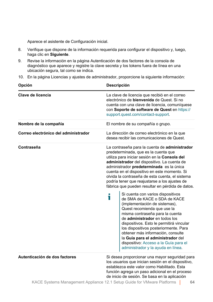Aparece el asistente de Configuración inicial.

- 8. Verifique que dispone de la información requerida para configurar el dispositivo y, luego, haga clic en **Siguiente**.
- 9. Revise la información en la página Autenticación de dos factores de la consola de diagnóstico que aparece y registre la clave secreta y los tokens fuera de línea en una ubicación segura, tal como se indica.
- 10. En la página Licencias y ajustes de administrador, proporcione la siguiente información:

| Opción                               | Descripción                                                                                                                                                                                                                                                                                                                                                                                                                                                                                                                                                                                                                                                                                                                                                                                                                                                                                           |  |  |
|--------------------------------------|-------------------------------------------------------------------------------------------------------------------------------------------------------------------------------------------------------------------------------------------------------------------------------------------------------------------------------------------------------------------------------------------------------------------------------------------------------------------------------------------------------------------------------------------------------------------------------------------------------------------------------------------------------------------------------------------------------------------------------------------------------------------------------------------------------------------------------------------------------------------------------------------------------|--|--|
| Clave de licencia                    | La clave de licencia que recibió en el correo<br>electrónico de <b>bienvenida</b> de Quest. Si no<br>cuenta con una clave de licencia, comuníquese<br>con Soporte de software de Quest en https://<br>support.quest.com/contact-support.                                                                                                                                                                                                                                                                                                                                                                                                                                                                                                                                                                                                                                                              |  |  |
| Nombre de la compañía                | El nombre de su compañía o grupo.                                                                                                                                                                                                                                                                                                                                                                                                                                                                                                                                                                                                                                                                                                                                                                                                                                                                     |  |  |
| Correo electrónico del administrador | La dirección de correo electrónico en la que<br>desea recibir las comunicaciones de Quest.                                                                                                                                                                                                                                                                                                                                                                                                                                                                                                                                                                                                                                                                                                                                                                                                            |  |  |
| Contraseña                           | La contraseña para la cuenta de administrador<br>predeterminada, que es la cuenta que<br>utiliza para iniciar sesión en la Consola del<br>administrador del dispositivo. La cuenta de<br>administrador predeterminada es la única<br>cuenta en el dispositivo en este momento. Si<br>olvida la contraseña de esta cuenta, el sistema<br>podría tener que reajustarse a los ajustes de<br>fábrica que pueden resultar en pérdida de datos.<br>Si cuenta con varios dispositivos<br>Т<br>de SMA de KACE o SDA de KACE<br>(implementación de sistemas),<br>Quest recomienda que use la<br>misma contraseña para la cuenta<br>de administrador en todos los<br>dispositivos. Esto le permitirá vincular<br>los dispositivos posteriormente. Para<br>obtener más información, consulte<br>la Guía para el administrador del<br>dispositivo: Acceso a la Guía para el<br>administrador y la ayuda en línea. |  |  |
| Autenticación de dos factores        | Si desea proporcionar una mayor seguridad para<br>los usuarios que inician sesión en el dispositivo,<br>establezca este valor como Habilitado. Esta<br>función agrega un paso adicional en el proceso<br>de inicio de sesión. Se basa en la aplicación                                                                                                                                                                                                                                                                                                                                                                                                                                                                                                                                                                                                                                                |  |  |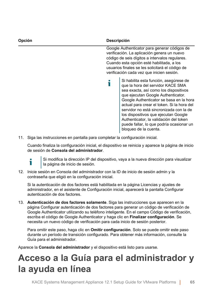| Opción | <b>Descripción</b>                                                                                                                                                                                                                                                                                                                                                                                                                                    |
|--------|-------------------------------------------------------------------------------------------------------------------------------------------------------------------------------------------------------------------------------------------------------------------------------------------------------------------------------------------------------------------------------------------------------------------------------------------------------|
|        | Google Authenticator para generar códigos de<br>verificación. La aplicación genera un nuevo<br>código de seis dígitos a intervalos regulares.<br>Cuando esta opción esté habilitada, a los<br>usuarios finales se les solicitará el código de<br>verificación cada vez que inicien sesión.                                                                                                                                                            |
|        | Si habilita esta función, asegúrese de<br>que la hora del servidor KACE SMA<br>sea exacta, así como los dispositivos<br>que ejecutan Google Authenticator.<br>Google Authenticator se basa en la hora<br>actual para crear el token. Si la hora del<br>servidor no está sincronizada con la de<br>los dispositivos que ejecutan Google<br>Authenticator, la validación del token<br>puede fallar, lo que podría ocasionar un<br>bloqueo de la cuenta. |

11. Siga las instrucciones en pantalla para completar la configuración inicial.

Cuando finaliza la configuración inicial, el dispositivo se reinicia y aparece la página de inicio de sesión de **Consola del administrador**.



Si modifica la dirección IP del dispositivo, vaya a la nueva dirección para visualizar la página de inicio de sesión.

12. Inicie sesión en Consola del administrador con la ID de inicio de sesión admin y la contraseña que eligió en la configuración inicial.

Si la autenticación de dos factores está habilitada en la página Licencias y ajustes de administrador, en el asistente de Configuración inicial, aparecerá la pantalla Configurar autenticación de dos factores.

13. **Autenticación de dos factores solamente**. Siga las instrucciones que aparecen en la página Configurar autenticación de dos factores para generar un código de verificación de Google Authenticator utilizando su teléfono inteligente. En el campo Código de verificación, escriba el código de Google Authenticator y haga clic en **Finalizar configuración**. Se necesita un nuevo código de verificación para cada inicio de sesión posterior.

Para omitir este paso, haga clic en **Omitir configuración**. Solo se puede omitir este paso durante un período de transición configurado. Para obtener más información, consulte la Guía para el administrador.

Aparece la **Consola del administrador** y el dispositivo está listo para usarse.

#### <span id="page-64-0"></span>**Acceso a la Guía para el administrador y la ayuda en línea**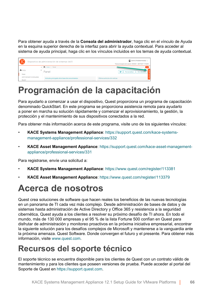Para obtener ayuda a través de la **Consola del administrador**, haga clic en el vínculo de Ayuda en la esquina superior derecha de la interfaz para abrir la ayuda contextual. Para acceder al sistema de ayuda principal, haga clic en los vínculos incluidos en los temas de ayuda contextual.

| $\sqrt{2}$<br>Dispositivo de administración de sistemas KACE |                             |  | admin (Predeterminado) v<br>Tiempo de espera de la sesión: 00:59:46 + 28/07/2017 17:02:50 |                               |
|--------------------------------------------------------------|-----------------------------|--|-------------------------------------------------------------------------------------------|-------------------------------|
|                                                              |                             |  | < inicio > Panel                                                                          | $\alpha$                      |
| n Inicio                                                     |                             |  | Panel                                                                                     | e<br>Personalizar             |
| Panel                                                        |                             |  |                                                                                           |                               |
|                                                              | Administración de etiquetas |  | Artículos principales de la base de conocimientos                                         | Últimos artículos de noticias |
| Buscar                                                       |                             |  |                                                                                           |                               |

#### <span id="page-65-0"></span>**Programación de la capacitación**

Para ayudarlo a comenzar a usar el dispositivo, Quest proporciona un programa de capacitación denominado QuickStart. En este programa se proporciona asistencia remota para ayudarlo a poner en marcha su solución rápidamente y comenzar el aprovisionamiento, la gestión, la protección y el mantenimiento de sus dispositivos conectados a la red.

Para obtener más información acerca de este programa, visite uno de los siguientes vínculos:

- **KACE Systems Management Appliance**: [https://support.quest.com/kace-systems](https://support.quest.com/kace-systems-management-appliance/professional-services/332)[management-appliance/professional-services/332](https://support.quest.com/kace-systems-management-appliance/professional-services/332)
- **KACE Asset Management Appliance**: [https://support.quest.com/kace-asset-management](https://support.quest.com/kace-asset-management-appliance/professional-services/331)[appliance/professional-services/331](https://support.quest.com/kace-asset-management-appliance/professional-services/331)

Para registrarse, envíe una solicitud a:

- **KACE Systems Management Appliance**: <https://www.quest.com/register/113381>
- **KACE Asset Management Appliance**: <https://www.quest.com/register/113379>

#### <span id="page-65-1"></span>**Acerca de nosotros**

Quest crea soluciones de software que hacen reales los beneficios de las nuevas tecnologías en un panorama de TI cada vez más complejo. Desde administración de bases de datos y de sistemas hasta administración de Active Directory y Office 365 y resistencia a la seguridad cibernética, Quest ayuda a los clientes a resolver su próximo desafío de TI ahora. En todo el mundo, más de 130 000 empresas y el 95 % de la lista Fortune 500 confían en Quest para disfrutar de administración y monitoreo proactivos en la próxima iniciativa empresarial, encontrar la siguiente solución para los desafíos complejos de Microsoft y mantenerse a la vanguardia ante la próxima amenaza. Quest Software. Donde convergen el futuro y el presente. Para obtener más información, visite [www.quest.com.](https://www.quest.com/company/contact-us.aspx)

#### <span id="page-65-2"></span>**Recursos del soporte técnico**

El soporte técnico se encuentra disponible para los clientes de Quest con un contrato válido de mantenimiento y para los clientes que poseen versiones de prueba. Puede acceder al portal del Soporte de Quest en [https://support.quest.com.](https://support.quest.com/)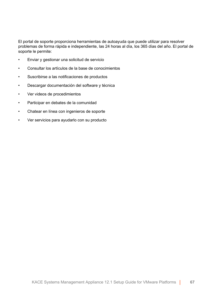El portal de soporte proporciona herramientas de autoayuda que puede utilizar para resolver problemas de forma rápida e independiente, las 24 horas al día, los 365 días del año. El portal de soporte le permite:

- Enviar y gestionar una solicitud de servicio
- Consultar los artículos de la base de conocimientos
- Suscribirse a las notificaciones de productos
- Descargar documentación del software y técnica
- Ver videos de procedimientos
- Participar en debates de la comunidad
- Chatear en línea con ingenieros de soporte
- Ver servicios para ayudarlo con su producto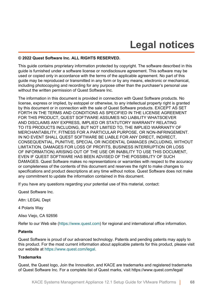## **Legal notices**

#### <span id="page-67-0"></span>**© 2022 Quest Software Inc. ALL RIGHTS RESERVED.**

This guide contains proprietary information protected by copyright. The software described in this guide is furnished under a software license or nondisclosure agreement. This software may be used or copied only in accordance with the terms of the applicable agreement. No part of this guide may be reproduced or transmitted in any form or by any means, electronic or mechanical, including photocopying and recording for any purpose other than the purchaser's personal use without the written permission of Quest Software Inc.

The information in this document is provided in connection with Quest Software products. No license, express or implied, by estoppel or otherwise, to any intellectual property right is granted by this document or in connection with the sale of Quest Software products. EXCEPT AS SET FORTH IN THE TERMS AND CONDITIONS AS SPECIFIED IN THE LICENSE AGREEMENT FOR THIS PRODUCT, QUEST SOFTWARE ASSUMES NO LIABILITY WHATSOEVER AND DISCLAIMS ANY EXPRESS, IMPLIED OR STATUTORY WARRANTY RELATING TO ITS PRODUCTS INCLUDING, BUT NOT LIMITED TO, THE IMPLIED WARRANTY OF MERCHANTABILITY, FITNESS FOR A PARTICULAR PURPOSE, OR NON-INFRINGEMENT. IN NO EVENT SHALL QUEST SOFTWARE BE LIABLE FOR ANY DIRECT, INDIRECT, CONSEQUENTIAL, PUNITIVE, SPECIAL OR INCIDENTAL DAMAGES (INCLUDING, WITHOUT LIMITATION, DAMAGES FOR LOSS OF PROFITS, BUSINESS INTERRUPTION OR LOSS OF INFORMATION) ARISING OUT OF THE USE OR INABILITY TO USE THIS DOCUMENT, EVEN IF QUEST SOFTWARE HAS BEEN ADVISED OF THE POSSIBILITY OF SUCH DAMAGES. Quest Software makes no representations or warranties with respect to the accuracy or completeness of the contents of this document and reserves the right to make changes to specifications and product descriptions at any time without notice. Quest Software does not make any commitment to update the information contained in this document.

If you have any questions regarding your potential use of this material, contact:

Quest Software Inc.

Attn: LEGAL Dept

4 Polaris Way

Aliso Viejo, CA 92656

Refer to our Web site [\(https://www.quest.com\)](https://www.quest.com) for regional and international office information.

#### **Patents**

Quest Software is proud of our advanced technology. Patents and pending patents may apply to this product. For the most current information about applicable patents for this product, please visit our website at [https://www.quest.com/legal.](https://www.quest.com/legal)

#### **Trademarks**

Quest, the Quest logo, Join the Innovation, and KACE are trademarks and registered trademarks of Quest Software Inc. For a complete list of Quest marks, visit [https://www.quest.com/legal/](https://www.quest.com/legal/trademark-information.aspx)